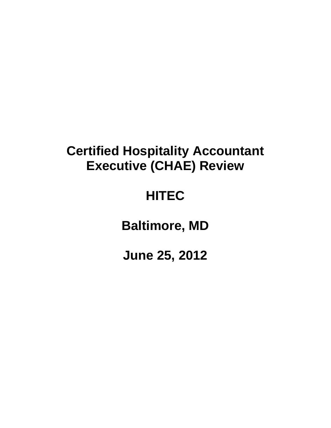## **Certified Hospitality Accountant Executive (CHAE) Review**

# **HITEC**

**Baltimore, MD**

**June 25, 2012**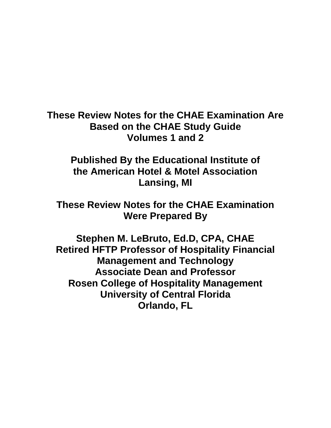**These Review Notes for the CHAE Examination Are Based on the CHAE Study Guide Volumes 1 and 2**

**Published By the Educational Institute of the American Hotel & Motel Association Lansing, MI**

**These Review Notes for the CHAE Examination Were Prepared By**

**Stephen M. LeBruto, Ed.D, CPA, CHAE Retired HFTP Professor of Hospitality Financial Management and Technology Associate Dean and Professor Rosen College of Hospitality Management University of Central Florida Orlando, FL**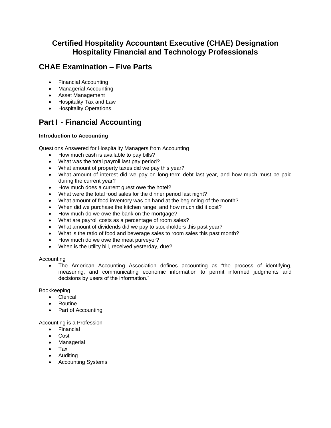## **Certified Hospitality Accountant Executive (CHAE) Designation Hospitality Financial and Technology Professionals**

## **CHAE Examination – Five Parts**

- Financial Accounting
- Managerial Accounting
- Asset Management
- Hospitality Tax and Law
- **•** Hospitality Operations

## **Part I - Financial Accounting**

#### **Introduction to Accounting**

Questions Answered for Hospitality Managers from Accounting

- How much cash is available to pay bills?
- What was the total payroll last pay period?
- What amount of property taxes did we pay this year?
- What amount of interest did we pay on long-term debt last year, and how much must be paid during the current year?
- How much does a current guest owe the hotel?
- What were the total food sales for the dinner period last night?
- What amount of food inventory was on hand at the beginning of the month?
- When did we purchase the kitchen range, and how much did it cost?
- How much do we owe the bank on the mortgage?
- What are payroll costs as a percentage of room sales?
- What amount of dividends did we pay to stockholders this past year?
- What is the ratio of food and beverage sales to room sales this past month?
- How much do we owe the meat purveyor?
- When is the utility bill, received yesterday, due?

#### Accounting

 The American Accounting Association defines accounting as "the process of identifying, measuring, and communicating economic information to permit informed judgments and decisions by users of the information."

Bookkeeping

- Clerical
- Routine
- Part of Accounting

#### Accounting is a Profession

- Financial
- Cost
- Managerial
- Tax
- Auditing
- Accounting Systems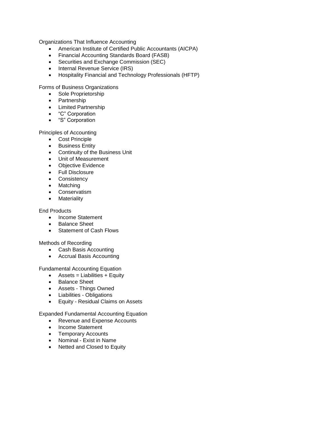Organizations That Influence Accounting

- American Institute of Certified Public Accountants (AICPA)
- Financial Accounting Standards Board (FASB)
- Securities and Exchange Commission (SEC)
- Internal Revenue Service (IRS)
- Hospitality Financial and Technology Professionals (HFTP)

Forms of Business Organizations

- Sole Proprietorship
- Partnership
- Limited Partnership
- "C" Corporation
- "S" Corporation

Principles of Accounting

- Cost Principle
- **•** Business Entity
- Continuity of the Business Unit
- Unit of Measurement
- Objective Evidence
- Full Disclosure
- Consistency
- Matching
- **•** Conservatism
- Materiality

#### End Products

- Income Statement
- Balance Sheet
- Statement of Cash Flows

#### Methods of Recording

- Cash Basis Accounting
- Accrual Basis Accounting

Fundamental Accounting Equation

- $\bullet$  Assets = Liabilities + Equity
- Balance Sheet
- Assets Things Owned
- Liabilities Obligations
- Equity Residual Claims on Assets

Expanded Fundamental Accounting Equation

- Revenue and Expense Accounts
- Income Statement
- Temporary Accounts
- Nominal Exist in Name
- Netted and Closed to Equity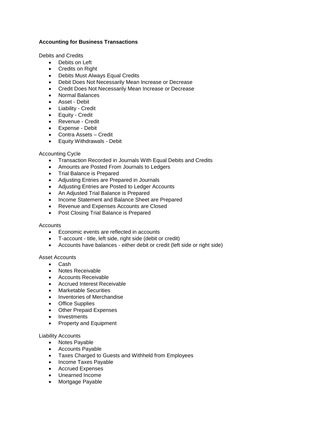#### **Accounting for Business Transactions**

Debits and Credits

- Debits on Left
- Credits on Right
- Debits Must Always Equal Credits
- Debit Does Not Necessarily Mean Increase or Decrease
- Credit Does Not Necessarily Mean Increase or Decrease
- Normal Balances
- Asset Debit
- Liability Credit
- Equity Credit
- Revenue Credit
- Expense Debit
- Contra Assets Credit
- Equity Withdrawals Debit

#### Accounting Cycle

- Transaction Recorded in Journals With Equal Debits and Credits
- Amounts are Posted From Journals to Ledgers
- Trial Balance is Prepared
- Adjusting Entries are Prepared in Journals
- Adjusting Entries are Posted to Ledger Accounts
- An Adjusted Trial Balance is Prepared
- Income Statement and Balance Sheet are Prepared
- Revenue and Expenses Accounts are Closed
- Post Closing Trial Balance is Prepared

#### **Accounts**

- Economic events are reflected in accounts
- T-account title, left side, right side (debit or credit)
- Accounts have balances either debit or credit (left side or right side)

#### Asset Accounts

- Cash
- Notes Receivable
- Accounts Receivable
- Accrued Interest Receivable
- Marketable Securities
- Inventories of Merchandise
- Office Supplies
- Other Prepaid Expenses
- Investments
- Property and Equipment

#### Liability Accounts

- Notes Payable
- Accounts Payable
- Taxes Charged to Guests and Withheld from Employees
- Income Taxes Payable
- Accrued Expenses
- Unearned Income
- Mortgage Payable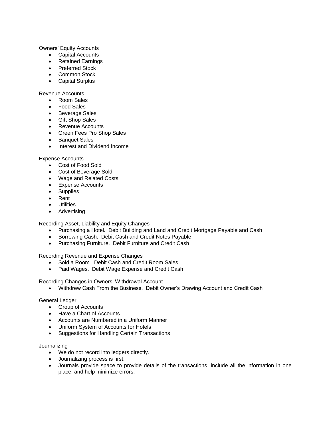Owners' Equity Accounts

- Capital Accounts
- Retained Earnings
- Preferred Stock
- Common Stock
- Capital Surplus

Revenue Accounts

- Room Sales
- Food Sales
- Beverage Sales
- Gift Shop Sales
- Revenue Accounts
- Green Fees Pro Shop Sales
- **•** Banquet Sales
- Interest and Dividend Income

Expense Accounts

- Cost of Food Sold
- Cost of Beverage Sold
- Wage and Related Costs
- Expense Accounts
- Supplies
- Rent
- Utilities
- Advertising

Recording Asset, Liability and Equity Changes

- Purchasing a Hotel. Debit Building and Land and Credit Mortgage Payable and Cash
- Borrowing Cash. Debit Cash and Credit Notes Payable
- Purchasing Furniture. Debit Furniture and Credit Cash

Recording Revenue and Expense Changes

- Sold a Room. Debit Cash and Credit Room Sales
- Paid Wages. Debit Wage Expense and Credit Cash

Recording Changes in Owners' Withdrawal Account

Withdrew Cash From the Business. Debit Owner's Drawing Account and Credit Cash

#### General Ledger

- Group of Accounts
- Have a Chart of Accounts
- Accounts are Numbered in a Uniform Manner
- Uniform System of Accounts for Hotels
- Suggestions for Handling Certain Transactions

#### Journalizing

- We do not record into ledgers directly.
- Journalizing process is first.
- Journals provide space to provide details of the transactions, include all the information in one place, and help minimize errors.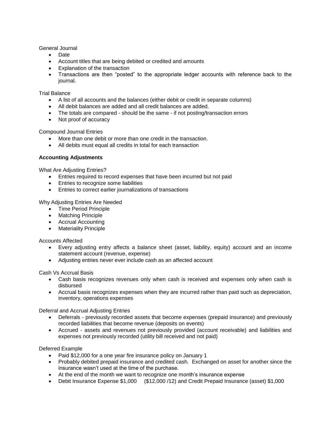General Journal

- Date
- Account titles that are being debited or credited and amounts
- Explanation of the transaction
- Transactions are then "posted" to the appropriate ledger accounts with reference back to the journal.

#### Trial Balance

- A list of all accounts and the balances (either debit or credit in separate columns)
- All debit balances are added and all credit balances are added.
- The totals are compared should be the same if not posting/transaction errors
- Not proof of accuracy

Compound Journal Entries

- More than one debit or more than one credit in the transaction.
- All debits must equal all credits in total for each transaction

#### **Accounting Adjustments**

What Are Adjusting Entries?

- Entries required to record expenses that have been incurred but not paid
- **Entries to recognize some liabilities**
- Entries to correct earlier journalizations of transactions

Why Adjusting Entries Are Needed

- Time Period Principle
- Matching Principle
- Accrual Accounting
- Materiality Principle

Accounts Affected

- Every adjusting entry affects a balance sheet (asset, liability, equity) account and an income statement account (revenue, expense)
- Adjusting entries never ever include cash as an affected account

Cash Vs Accrual Basis

- Cash basis recognizes revenues only when cash is received and expenses only when cash is disbursed
- Accrual basis recognizes expenses when they are incurred rather than paid such as depreciation, inventory, operations expenses

Deferral and Accrual Adjusting Entries

- Deferrals previously recorded assets that become expenses (prepaid insurance) and previously recorded liabilities that become revenue (deposits on events)
- Accrued assets and revenues not previously provided (account receivable) and liabilities and expenses not previously recorded (utility bill received and not paid)

Deferred Example

- Paid \$12,000 for a one year fire insurance policy on January 1
- Probably debited prepaid insurance and credited cash. Exchanged on asset for another since the insurance wasn't used at the time of the purchase.
- At the end of the month we want to recognize one month's insurance expense
- Debit Insurance Expense \$1,000 (\$12,000 /12) and Credit Prepaid Insurance (asset) \$1,000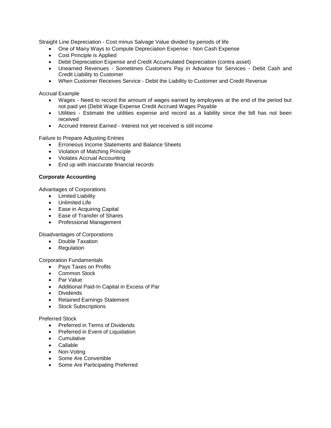Straight Line Depreciation - Cost minus Salvage Value divided by periods of life

- One of Many Ways to Compute Depreciation Expense Non Cash Expense
- Cost Principle is Applied
- Debit Depreciation Expense and Credit Accumulated Depreciation (contra asset)
- Unearned Revenues Sometimes Customers Pay in Advance for Services Debit Cash and Credit Liability to Customer
- When Customer Receives Service Debit the Liability to Customer and Credit Revenue

Accrual Example

- Wages Need to record the amount of wages earned by employees at the end of the period but not paid yet (Debit Wage Expense Credit Accrued Wages Payable
- Utilities Estimate the utilities expense and record as a liability since the bill has not been received
- Accrued Interest Earned Interest not yet received is still income

Failure to Prepare Adjusting Entries

- Erroneous Income Statements and Balance Sheets
- Violation of Matching Principle
- Violates Accrual Accounting
- End up with inaccurate financial records

#### **Corporate Accounting**

Advantages of Corporations

- Limited Liability
- Unlimited Life
- Ease in Acquiring Capital
- Ease of Transfer of Shares
- Professional Management

Disadvantages of Corporations

- Double Taxation
- Regulation

Corporation Fundamentals

- Pays Taxes on Profits
- Common Stock
- Par Value
- Additional Paid-In Capital in Excess of Par
- Dividends
- Retained Earnings Statement
- Stock Subscriptions

#### Preferred Stock

- Preferred in Terms of Dividends
- Preferred in Event of Liquidation
- Cumulative
- Callable
- Non-Voting
- Some Are Convertible
- Some Are Participating Preferred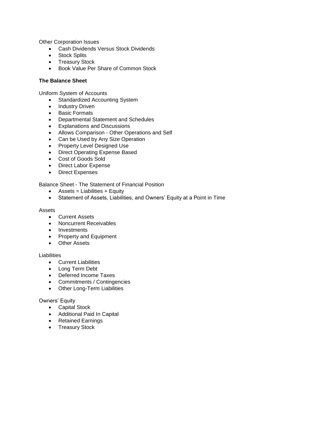Other Corporation Issues

- Cash Dividends Versus Stock Dividends
- Stock Splits
- Treasury Stock
- Book Value Per Share of Common Stock

#### **The Balance Sheet**

Uniform System of Accounts

- Standardized Accounting System
- Industry Driven
- Basic Formats
- Departmental Statement and Schedules
- Explanations and Discussions
- Allows Comparison Other Operations and Self
- Can be Used by Any Size Operation
- Property Level Designed Use
- Direct Operating Expense Based
- Cost of Goods Sold
- Direct Labor Expense
- Direct Expenses

Balance Sheet - The Statement of Financial Position

- $\bullet$  Assets = Liabilities + Equity
- Statement of Assets, Liabilities, and Owners' Equity at a Point in Time

#### Assets

- Current Assets
- Noncurrent Receivables
- Investments
- Property and Equipment
- Other Assets

#### **Liabilities**

- **•** Current Liabilities
- Long Term Debt
- Deferred Income Taxes
- Commitments / Contingencies
- Other Long-Term Liabilities

#### Owners' Equity

- Capital Stock
- Additional Paid In Capital
- Retained Earnings
- Treasury Stock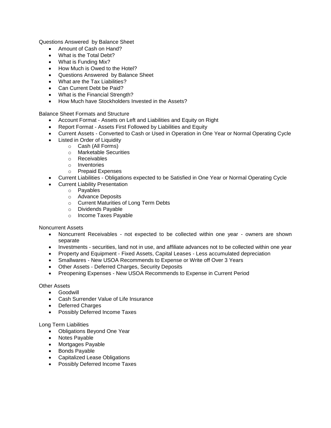Questions Answered by Balance Sheet

- Amount of Cash on Hand?
- What is the Total Debt?
- What is Funding Mix?
- How Much is Owed to the Hotel?
- Questions Answered by Balance Sheet
- What are the Tax Liabilities?
- Can Current Debt be Paid?
- What is the Financial Strength?
- How Much have Stockholders Invested in the Assets?

Balance Sheet Formats and Structure

- Account Format Assets on Left and Liabilities and Equity on Right
- Report Format Assets First Followed by Liabilities and Equity
- Current Assets Converted to Cash or Used in Operation in One Year or Normal Operating Cycle
- Listed in Order of Liquidity
	- o Cash (All Forms)
		- o Marketable Securities
		- o Receivables
		- o Inventories
		- o Prepaid Expenses
- Current Liabilities Obligations expected to be Satisfied in One Year or Normal Operating Cycle
- Current Liability Presentation
	- o Payables
	- o Advance Deposits
	- o Current Maturities of Long Term Debts
	- o Dividends Payable
	- o Income Taxes Payable

Noncurrent Assets

- Noncurrent Receivables not expected to be collected within one year owners are shown separate
- Investments securities, land not in use, and affiliate advances not to be collected within one year
- Property and Equipment Fixed Assets, Capital Leases Less accumulated depreciation
- Smallwares New USOA Recommends to Expense or Write off Over 3 Years
- Other Assets Deferred Charges, Security Deposits
- Preopening Expenses New USOA Recommends to Expense in Current Period

#### Other Assets

- Goodwill
- Cash Surrender Value of Life Insurance
- Deferred Charges
- Possibly Deferred Income Taxes

#### Long Term Liabilities

- Obligations Beyond One Year
- Notes Payable
- Mortgages Payable
- Bonds Payable
- Capitalized Lease Obligations
- Possibly Deferred Income Taxes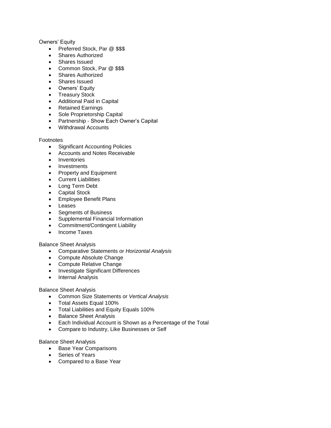#### Owners' Equity

- Preferred Stock, Par @ \$\$\$
- Shares Authorized
- Shares Issued
- Common Stock, Par @ \$\$\$
- Shares Authorized
- Shares Issued
- Owners' Equity
- Treasury Stock
- Additional Paid in Capital
- Retained Earnings
- Sole Proprietorship Capital
- Partnership Show Each Owner's Capital
- Withdrawal Accounts

#### Footnotes

- Significant Accounting Policies
- Accounts and Notes Receivable
- Inventories
- Investments
- Property and Equipment
- Current Liabilities
- Long Term Debt
- Capital Stock
- Employee Benefit Plans
- Leases
- Segments of Business
- Supplemental Financial Information
- Commitment/Contingent Liability
- Income Taxes

#### Balance Sheet Analysis

- Comparative Statements or *Horizontal Analysis*
- Compute Absolute Change
- Compute Relative Change
- Investigate Significant Differences
- Internal Analysis

#### Balance Sheet Analysis

- Common Size Statements or *Vertical Analysis*
- Total Assets Equal 100%
- Total Liabilities and Equity Equals 100%
- Balance Sheet Analysis
- Each Individual Account is Shown as a Percentage of the Total
- Compare to Industry, Like Businesses or Self

#### Balance Sheet Analysis

- Base Year Comparisons
- Series of Years
- Compared to a Base Year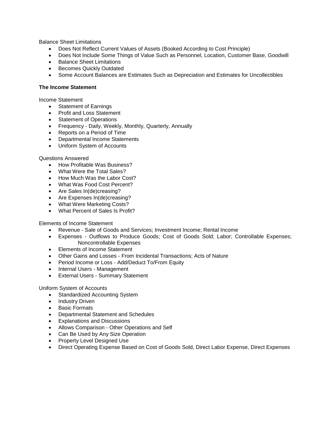Balance Sheet Limitations

- Does Not Reflect Current Values of Assets (Booked According to Cost Principle)
- Does Not Include Some Things of Value Such as Personnel, Location, Customer Base, Goodwill
- Balance Sheet Limitations
- **Becomes Quickly Outdated**
- Some Account Balances are Estimates Such as Depreciation and Estimates for Uncollectibles

#### **The Income Statement**

Income Statement

- Statement of Earnings
- Profit and Loss Statement
- Statement of Operations
- Frequency Daily, Weekly, Monthly, Quarterly, Annually
- Reports on a Period of Time
- Departmental Income Statements
- Uniform System of Accounts

#### Questions Answered

- How Profitable Was Business?
- What Were the Total Sales?
- How Much Was the Labor Cost?
- What Was Food Cost Percent?
- Are Sales In(de)creasing?
- Are Expenses In(de)creasing?
- What Were Marketing Costs?
- What Percent of Sales Is Profit?

#### Elements of Income Statement

- Revenue Sale of Goods and Services; Investment Income; Rental Income
- Expenses Outflows to Produce Goods; Cost of Goods Sold; Labor; Controllable Expenses; Noncontrollable Expenses
- Elements of Income Statement
- Other Gains and Losses From Incidental Transactions; Acts of Nature
- Period Income or Loss Add/Deduct To/From Equity
- Internal Users Management
- External Users Summary Statement

#### Uniform System of Accounts

- Standardized Accounting System
- Industry Driven
- Basic Formats
- Departmental Statement and Schedules
- Explanations and Discussions
- Allows Comparison Other Operations and Self
- Can Be Used by Any Size Operation
- Property Level Designed Use
- Direct Operating Expense Based on Cost of Goods Sold, Direct Labor Expense, Direct Expenses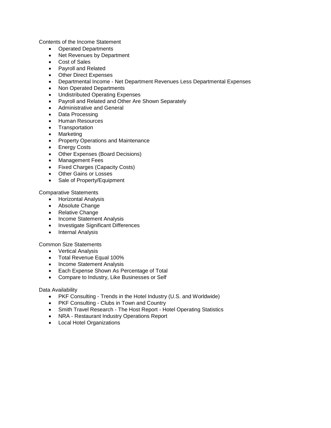Contents of the Income Statement

- Operated Departments
- Net Revenues by Department
- Cost of Sales
- Payroll and Related
- Other Direct Expenses
- Departmental Income Net Department Revenues Less Departmental Expenses
- Non Operated Departments
- Undistributed Operating Expenses
- Payroll and Related and Other Are Shown Separately
- Administrative and General
- Data Processing
- Human Resources
- Transportation
- Marketing
- Property Operations and Maintenance
- Energy Costs
- Other Expenses (Board Decisions)
- Management Fees
- Fixed Charges (Capacity Costs)
- Other Gains or Losses
- Sale of Property/Equipment

Comparative Statements

- Horizontal Analysis
- Absolute Change
- Relative Change
- Income Statement Analysis
- Investigate Significant Differences
- Internal Analysis

Common Size Statements

- Vertical Analysis
- Total Revenue Equal 100%
- Income Statement Analysis
- **Each Expense Shown As Percentage of Total**
- Compare to Industry, Like Businesses or Self

Data Availability

- PKF Consulting Trends in the Hotel Industry (U.S. and Worldwide)
- PKF Consulting Clubs in Town and Country
- Smith Travel Research The Host Report Hotel Operating Statistics
- NRA Restaurant Industry Operations Report
- Local Hotel Organizations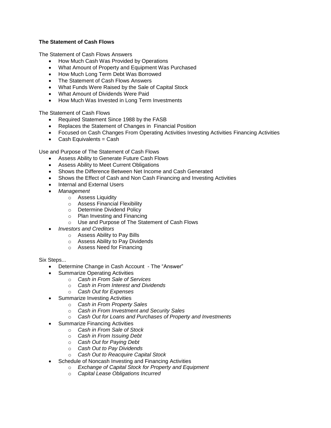#### **The Statement of Cash Flows**

The Statement of Cash Flows Answers

- How Much Cash Was Provided by Operations
- What Amount of Property and Equipment Was Purchased
- How Much Long Term Debt Was Borrowed
- The Statement of Cash Flows Answers
- What Funds Were Raised by the Sale of Capital Stock
- What Amount of Dividends Were Paid
- How Much Was Invested in Long Term Investments

The Statement of Cash Flows

- Required Statement Since 1988 by the FASB
- Replaces the Statement of Changes in Financial Position
- Focused on Cash Changes From Operating Activities Investing Activities Financing Activities
- $\bullet$  Cash Equivalents = Cash

Use and Purpose of The Statement of Cash Flows

- Assess Ability to Generate Future Cash Flows
- Assess Ability to Meet Current Obligations
- Shows the Difference Between Net Income and Cash Generated
- Shows the Effect of Cash and Non Cash Financing and Investing Activities
- Internal and External Users
- *Management*
	- o Assess Liquidity
	- o Assess Financial Flexibility
	- o Determine Dividend Policy
	- o Plan Investing and Financing
	- o Use and Purpose of The Statement of Cash Flows
- *Investors and Creditors*
	- o Assess Ability to Pay Bills
	- o Assess Ability to Pay Dividends
	- o Assess Need for Financing

Six Steps...

- Determine Change in Cash Account The "Answer"
- Summarize Operating Activities
	- o *Cash in From Sale of Services*
	- o *Cash in From Interest and Dividends*
	- o *Cash Out for Expenses*
- Summarize Investing Activities
	- o *Cash in From Property Sales*
	- o *Cash in From Investment and Security Sales*
	- o *Cash Out for Loans and Purchases of Property and Investments*
- Summarize Financing Activities
	- o *Cash in From Sale of Stock*
	- o *Cash in From Issuing Debt*
	- o *Cash Out for Paying Debt*
	- o *Cash Out to Pay Dividends*
	- o *Cash Out to Reacquire Capital Stock*
- Schedule of Noncash Investing and Financing Activities
	- o *Exchange of Capital Stock for Property and Equipment*
	- o *Capital Lease Obligations Incurred*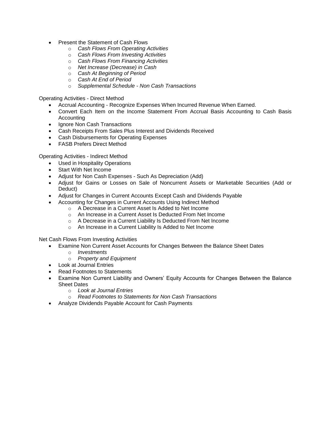- Present the Statement of Cash Flows
	- o *Cash Flows From Operating Activities*
	- o *Cash Flows From Investing Activities*
	- o *Cash Flows From Financing Activities*
	- o *Net Increase (Decrease) in Cash*
	- o *Cash At Beginning of Period*
	- o *Cash At End of Period*
	- o *Supplemental Schedule - Non Cash Transactions*

Operating Activities - Direct Method

- Accrual Accounting Recognize Expenses When Incurred Revenue When Earned.
- Convert Each Item on the Income Statement From Accrual Basis Accounting to Cash Basis Accounting
- Ignore Non Cash Transactions
- Cash Receipts From Sales Plus Interest and Dividends Received
- Cash Disbursements for Operating Expenses
- FASB Prefers Direct Method

Operating Activities - Indirect Method

- Used in Hospitality Operations
- Start With Net Income
- Adjust for Non Cash Expenses Such As Depreciation (Add)
- Adjust for Gains or Losses on Sale of Noncurrent Assets or Marketable Securities (Add or Deduct)
- Adjust for Changes in Current Accounts Except Cash and Dividends Payable
- Accounting for Changes in Current Accounts Using Indirect Method
	- o A Decrease in a Current Asset Is Added to Net Income
	- o An Increase in a Current Asset Is Deducted From Net Income
	- o A Decrease in a Current Liability Is Deducted From Net Income
	- o An Increase in a Current Liability Is Added to Net Income

Net Cash Flows From Investing Activities

- Examine Non Current Asset Accounts for Changes Between the Balance Sheet Dates
	- o *Investments*
	- o *Property and Equipment*
- Look at Journal Entries
- Read Footnotes to Statements
- Examine Non Current Liability and Owners' Equity Accounts for Changes Between the Balance Sheet Dates
	- o *Look at Journal Entries*
	- o *Read Footnotes to Statements for Non Cash Transactions*
- Analyze Dividends Payable Account for Cash Payments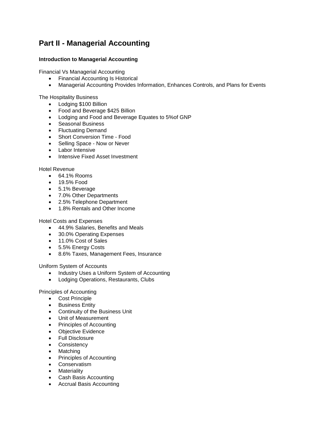## **Part II - Managerial Accounting**

#### **Introduction to Managerial Accounting**

Financial Vs Managerial Accounting

- Financial Accounting Is Historical
- Managerial Accounting Provides Information, Enhances Controls, and Plans for Events

The Hospitality Business

- Lodging \$100 Billion
- Food and Beverage \$425 Billion
- Lodging and Food and Beverage Equates to 5%of GNP
- Seasonal Business
- Fluctuating Demand
- Short Conversion Time Food
- Selling Space Now or Never
- Labor Intensive
- Intensive Fixed Asset Investment

#### Hotel Revenue

- 64.1% Rooms
- 19.5% Food
- 5.1% Beverage
- 7.0% Other Departments
- 2.5% Telephone Department
- 1.8% Rentals and Other Income

Hotel Costs and Expenses

- 44.9% Salaries, Benefits and Meals
- 30.0% Operating Expenses
- 11.0% Cost of Sales
- 5.5% Energy Costs
- 8.6% Taxes, Management Fees, Insurance

Uniform System of Accounts

- Industry Uses a Uniform System of Accounting
- Lodging Operations, Restaurants, Clubs

Principles of Accounting

- Cost Principle
- **•** Business Entity
- Continuity of the Business Unit
- Unit of Measurement
- Principles of Accounting
- Objective Evidence
- Full Disclosure
- Consistency
- Matching
- Principles of Accounting
- **•** Conservatism
- Materiality
- Cash Basis Accounting
- Accrual Basis Accounting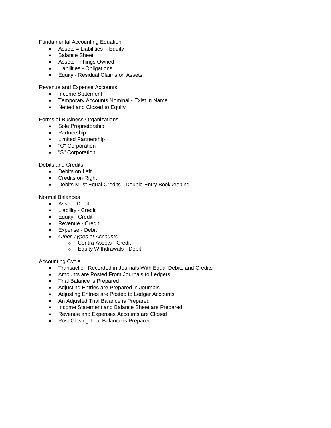Fundamental Accounting Equation

- $\bullet$  Assets = Liabilities + Equity
- Balance Sheet
- Assets Things Owned
- Liabilities Obligations
- Equity Residual Claims on Assets

Revenue and Expense Accounts

- Income Statement
- Temporary Accounts Nominal Exist in Name
- Netted and Closed to Equity

Forms of Business Organizations

- Sole Proprietorship
- Partnership
- Limited Partnership
- "C" Corporation
- "S" Corporation

Debits and Credits

- Debits on Left
- Credits on Right
- Debits Must Equal Credits Double Entry Bookkeeping

Normal Balances

- Asset Debit
- Liability Credit
- Equity Credit
- Revenue Credit
- Expense Debit
- *Other Types of Accounts*
	- o Contra Assets Credit
		- o Equity Withdrawals Debit

Accounting Cycle

- **•** Transaction Recorded in Journals With Equal Debits and Credits
- Amounts are Posted From Journals to Ledgers
- Trial Balance is Prepared
- Adjusting Entries are Prepared in Journals
- Adjusting Entries are Posted to Ledger Accounts
- An Adjusted Trial Balance is Prepared
- Income Statement and Balance Sheet are Prepared
- Revenue and Expenses Accounts are Closed
- Post Closing Trial Balance is Prepared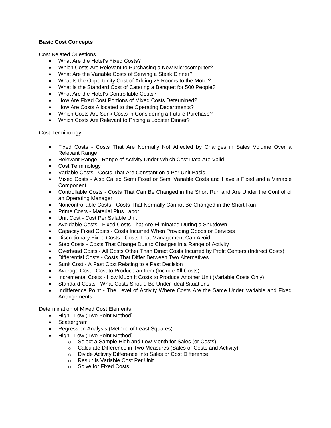#### **Basic Cost Concepts**

Cost Related Questions

- What Are the Hotel's Fixed Costs?
- Which Costs Are Relevant to Purchasing a New Microcomputer?
- What Are the Variable Costs of Serving a Steak Dinner?
- What Is the Opportunity Cost of Adding 25 Rooms to the Motel?
- What Is the Standard Cost of Catering a Banquet for 500 People?
- What Are the Hotel's Controllable Costs?
- How Are Fixed Cost Portions of Mixed Costs Determined?
- How Are Costs Allocated to the Operating Departments?
- Which Costs Are Sunk Costs in Considering a Future Purchase?
- Which Costs Are Relevant to Pricing a Lobster Dinner?

Cost Terminology

- Fixed Costs Costs That Are Normally Not Affected by Changes in Sales Volume Over a Relevant Range
- Relevant Range Range of Activity Under Which Cost Data Are Valid
- Cost Terminology
- Variable Costs Costs That Are Constant on a Per Unit Basis
- Mixed Costs Also Called Semi Fixed or Semi Variable Costs and Have a Fixed and a Variable Component
- Controllable Costs Costs That Can Be Changed in the Short Run and Are Under the Control of an Operating Manager
- Noncontrollable Costs Costs That Normally Cannot Be Changed in the Short Run
- Prime Costs Material Plus Labor
- Unit Cost Cost Per Salable Unit
- Avoidable Costs Fixed Costs That Are Eliminated During a Shutdown
- Capacity Fixed Costs Costs Incurred When Providing Goods or Services
- Discretionary Fixed Costs Costs That Management Can Avoid
- Step Costs Costs That Change Due to Changes in a Range of Activity
- Overhead Costs All Costs Other Than Direct Costs Incurred by Profit Centers (Indirect Costs)
- Differential Costs Costs That Differ Between Two Alternatives
- Sunk Cost A Past Cost Relating to a Past Decision
- Average Cost Cost to Produce an Item (Include All Costs)
- Incremental Costs How Much It Costs to Produce Another Unit (Variable Costs Only)
- Standard Costs What Costs Should Be Under Ideal Situations
- Indifference Point The Level of Activity Where Costs Are the Same Under Variable and Fixed Arrangements

Determination of Mixed Cost Elements

- High Low (Two Point Method)
- Scattergram
- Regression Analysis (Method of Least Squares)
- High Low (Two Point Method)
	- o Select a Sample High and Low Month for Sales (or Costs)
	- o Calculate Difference in Two Measures (Sales or Costs and Activity)
	- o Divide Activity Difference Into Sales or Cost Difference
	- o Result Is Variable Cost Per Unit
	- o Solve for Fixed Costs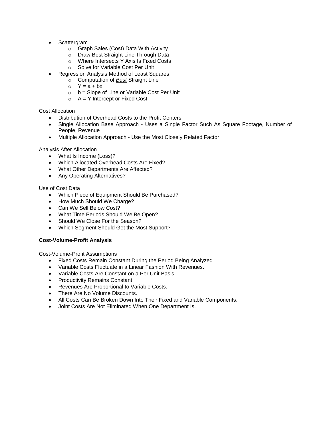- Scattergram
	- o Graph Sales (Cost) Data With Activity
	- o Draw Best Straight Line Through Data
	- o Where Intersects Y Axis Is Fixed Costs
	- o Solve for Variable Cost Per Unit
- Regression Analysis Method of Least Squares
	- o Computation of *Best* Straight Line
	- $O Y = a + bx$
	- $o$  b = Slope of Line or Variable Cost Per Unit
	- $\circ$  A = Y Intercept or Fixed Cost

#### Cost Allocation

- Distribution of Overhead Costs to the Profit Centers
- Single Allocation Base Approach Uses a Single Factor Such As Square Footage, Number of People, Revenue
- Multiple Allocation Approach Use the Most Closely Related Factor

#### Analysis After Allocation

- What Is Income (Loss)?
- Which Allocated Overhead Costs Are Fixed?
- What Other Departments Are Affected?
- Any Operating Alternatives?

#### Use of Cost Data

- Which Piece of Equipment Should Be Purchased?
- How Much Should We Charge?
- Can We Sell Below Cost?
- What Time Periods Should We Be Open?
- Should We Close For the Season?
- Which Segment Should Get the Most Support?

#### **Cost-Volume-Profit Analysis**

Cost-Volume-Profit Assumptions

- Fixed Costs Remain Constant During the Period Being Analyzed.
- Variable Costs Fluctuate in a Linear Fashion With Revenues.
- Variable Costs Are Constant on a Per Unit Basis.
- Productivity Remains Constant.
- Revenues Are Proportional to Variable Costs.
- There Are No Volume Discounts.
- All Costs Can Be Broken Down Into Their Fixed and Variable Components.
- Joint Costs Are Not Eliminated When One Department Is.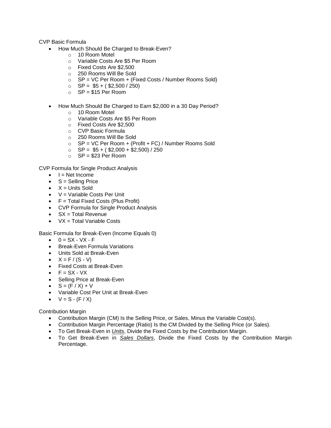CVP Basic Formula

- How Much Should Be Charged to Break-Even?
	- o 10 Room Motel
	- o Variable Costs Are \$5 Per Room
	- o Fixed Costs Are \$2,500
	- o 250 Rooms Will Be Sold
	- $\circ$  SP = VC Per Room + (Fixed Costs / Number Rooms Sold)
	- $\circ$  SP = \$5 + (\$2,500 / 250)
	- $O$  SP = \$15 Per Room
- How Much Should Be Charged to Earn \$2,000 in a 30 Day Period?
	- o 10 Room Motel
		- o Variable Costs Are \$5 Per Room
		- o Fixed Costs Are \$2,500
		- o CVP Basic Formula
		- o 250 Rooms Will Be Sold
		- $\circ$  SP = VC Per Room + (Profit + FC) / Number Rooms Sold
		- $\circ$  SP = \$5 + (\$2,000 + \$2,500) / 250
		- $\circ$  SP = \$23 Per Room

CVP Formula for Single Product Analysis

- $\bullet$   $I = Net Income$
- $S =$  Selling Price
- $\bullet$   $X =$  Units Sold
- $\bullet$  V = Variable Costs Per Unit
- $\bullet$   $F = \text{Total Fixed Costs (Plus Profit)}$
- CVP Formula for Single Product Analysis
- $S_X = \text{Total Revenue}$
- $\bullet$  VX = Total Variable Costs

Basic Formula for Break-Even (Income Equals 0)

- $0 = SX VX F$
- Break-Even Formula Variations
- Units Sold at Break-Even
- $X = F / (S V)$
- Fixed Costs at Break-Even
- $\bullet$   $F = SX VX$
- Selling Price at Break-Even
- $S = (F / X) + V$
- Variable Cost Per Unit at Break-Even
- $V = S (F / X)$

Contribution Margin

- Contribution Margin (CM) Is the Selling Price, or Sales, Minus the Variable Cost(s).
- Contribution Margin Percentage (Ratio) Is the CM Divided by the Selling Price (or Sales).
- To Get Break-Even in *Units*, Divide the Fixed Costs by the Contribution Margin.
- To Get Break-Even in *Sales Dollars*, Divide the Fixed Costs by the Contribution Margin Percentage.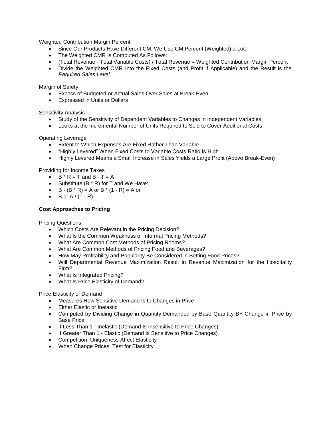Weighted Contribution Margin Percent

- Since Our Products Have Different CM, We Use CM Percent (Weighted) a Lot.
- The Weighted CMR Is Computed As Follows:
- (Total Revenue Total Variable Costs) / Total Revenue = Weighted Contribution Margin Percent
- Divide the Weighted CMR Into the Fixed Costs (and Profit if Applicable) and the Result is the *Required Sales Level*.

Margin of Safety

- Excess of Budgeted or Actual Sales Over Sales at Break-Even
- Expressed in Units or Dollars

Sensitivity Analysis

- Study of the Sensitivity of Dependent Variables to Changes in Independent Variables
- Looks at the Incremental Number of Units Required to Sold to Cover Additional Costs

Operating Leverage

- Extent to Which Expenses Are Fixed Rather Than Variable
- "Highly Levered" When Fixed Costs to Variable Costs Ratio Is High
- Highly Levered Means a Small Increase in Sales Yields a Large Profit (Above Break-Even)

Providing for Income Taxes

- $\bullet$  B  $*$  R = T and B T = A
- Substitute  $(B * R)$  for T and We Have:
- B  $(B * R) = A$  or B  $* (1 R) = A$  or
- $\bullet$  B = A / (1 R)

#### **Cost Approaches to Pricing**

Pricing Questions

- Which Costs Are Relevant in the Pricing Decision?
- What Is the Common Weakness of Informal Pricing Methods?
- What Are Common Cost Methods of Pricing Rooms?
- What Are Common Methods of Pricing Food and Beverages?
- How May Profitability and Popularity Be Considered in Setting Food Prices?
- Will Departmental Revenue Maximization Result in Revenue Maximization for the Hospitality Firm?
- What Is Integrated Pricing?
- What Is Price Elasticity of Demand?

Price Elasticity of Demand

- Measures How Sensitive Demand Is to Changes in Price
- Either Elastic or Inelastic
- Computed by Dividing Change in Quantity Demanded by Base Quantity BY Change in Price by Base Price
- If Less Than 1 Inelastic (Demand Is Insensitive to Price Changes)
- If Greater Than 1 Elastic (Demand Is Sensitive to Price Changes)
- Competition, Uniqueness Affect Elasticity
- When Change Prices, Test for Elasticity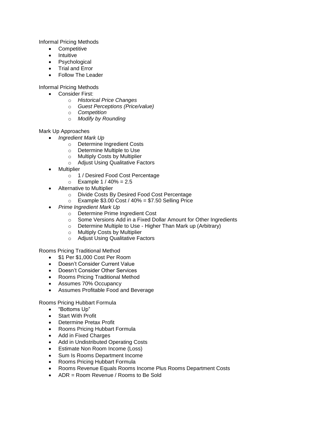Informal Pricing Methods

- Competitive
- Intuitive
- Psychological
- Trial and Error
- Follow The Leader

Informal Pricing Methods

- Consider First:
	- o *Historical Price Changes*
	- o *Guest Perceptions (Price/value)*
	- o *Competition*
	- o *Modify by Rounding*

Mark Up Approaches

- *Ingredient Mark Up*
	- o Determine Ingredient Costs
	- o Determine Multiple to Use
	- o Multiply Costs by Multiplier
	- o Adjust Using Qualitative Factors
- Multiplier
	- o 1 / Desired Food Cost Percentage
	- $\circ$  Example 1 / 40% = 2.5
- Alternative to Multiplier
	- o Divide Costs By Desired Food Cost Percentage
	- $\circ$  Example \$3.00 Cost / 40% = \$7.50 Selling Price
- *Prime Ingredient Mark Up*
	- o Determine Prime Ingredient Cost
	- o Some Versions Add in a Fixed Dollar Amount for Other Ingredients
	- o Determine Multiple to Use Higher Than Mark up (Arbitrary)
	- o Multiply Costs by Multiplier
	- o Adjust Using Qualitative Factors

Rooms Pricing Traditional Method

- \$1 Per \$1,000 Cost Per Room
- Doesn't Consider Current Value
- Doesn't Consider Other Services
- Rooms Pricing Traditional Method
- Assumes 70% Occupancy
- Assumes Profitable Food and Beverage

Rooms Pricing Hubbart Formula

- "Bottoms Up"
- Start With Profit
- Determine Pretax Profit
- Rooms Pricing Hubbart Formula
- Add in Fixed Charges
- Add in Undistributed Operating Costs
- Estimate Non Room Income (Loss)
- Sum Is Rooms Department Income
- Rooms Pricing Hubbart Formula
- Rooms Revenue Equals Rooms Income Plus Rooms Department Costs
- ADR = Room Revenue / Rooms to Be Sold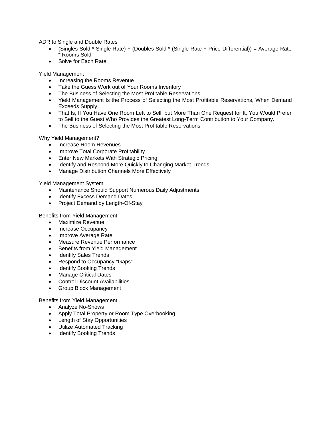ADR to Single and Double Rates

- (Singles Sold \* Single Rate) + (Doubles Sold \* (Single Rate + Price Differential)) = Average Rate \* Rooms Sold
- Solve for Each Rate

Yield Management

- Increasing the Rooms Revenue
- Take the Guess Work out of Your Rooms Inventory
- The Business of Selecting the Most Profitable Reservations
- Yield Management Is the Process of Selecting the Most Profitable Reservations, When Demand Exceeds Supply.
- That Is, If You Have One Room Left to Sell, but More Than One Request for It, You Would Prefer to Sell to the Guest Who Provides the Greatest Long-Term Contribution to Your Company.
- The Business of Selecting the Most Profitable Reservations

Why Yield Management?

- Increase Room Revenues
- Improve Total Corporate Profitability
- **Enter New Markets With Strategic Pricing**
- Identify and Respond More Quickly to Changing Market Trends
- Manage Distribution Channels More Effectively

Yield Management System

- Maintenance Should Support Numerous Daily Adjustments
- Identify Excess Demand Dates
- Project Demand by Length-Of-Stay

Benefits from Yield Management

- Maximize Revenue
- Increase Occupancy
- Improve Average Rate
- Measure Revenue Performance
- Benefits from Yield Management
- Identify Sales Trends
- Respond to Occupancy "Gaps"
- Identify Booking Trends
- Manage Critical Dates
- Control Discount Availabilities
- Group Block Management

Benefits from Yield Management

- Analyze No-Shows
- Apply Total Property or Room Type Overbooking
- Length of Stay Opportunities
- Utilize Automated Tracking
- Identify Booking Trends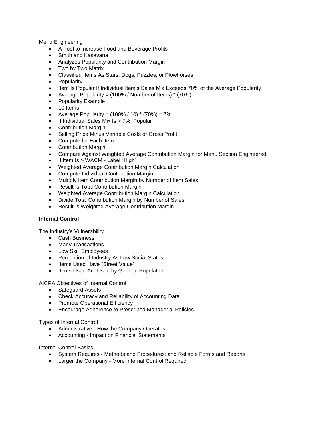Menu Engineering

- A Tool to Increase Food and Beverage Profits
- Smith and Kasavana
- Analyzes Popularity and Contribution Margin
- Two by Two Matrix
- Classified Items As Stars, Dogs, Puzzles, or Plowhorses
- Popularity
- Item Is Popular If Individual Item's Sales Mix Exceeds 70% of the Average Popularity
- Average Popularity =  $(100\% /$  Number of Items)  $*$  (70%)
- Popularity Example
- 10 Items
- Average Popularity =  $(100\% / 10)$  \*  $(70\%) = 7\%$
- If Individual Sales Mix Is > 7%, Popular
- Contribution Margin
- Selling Price Minus Variable Costs or Gross Profit
- Compute for Each Item
- Contribution Margin
- Compare Against Weighted Average Contribution Margin for Menu Section Engineered
- If Item Is > WACM Label "High"
- Weighted Average Contribution Margin Calculation
- Compute Individual Contribution Margin
- Multiply Item Contribution Margin by Number of Item Sales
- Result Is Total Contribution Margin
- Weighted Average Contribution Margin Calculation
- Divide Total Contribution Margin by Number of Sales
- Result Is Weighted Average Contribution Margin

#### **Internal Control**

The Industry's Vulnerability

- Cash Business
- Many Transactions
- Low Skill Employees
- Perception of Industry As Low Social Status
- Items Used Have "Street Value"
- Items Used Are Used by General Population

AICPA Objectives of Internal Control

- Safeguard Assets
- Check Accuracy and Reliability of Accounting Data
- Promote Operational Efficiency
- Encourage Adherence to Prescribed Managerial Policies

Types of Internal Control

- Administrative How the Company Operates
- Accounting Impact on Financial Statements

Internal Control Basics

- System Requires Methods and Procedures; and Reliable Forms and Reports
- Larger the Company More Internal Control Required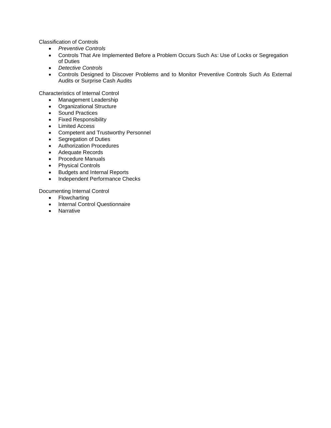Classification of Controls

- *Preventive Controls*
- Controls That Are Implemented Before a Problem Occurs Such As: Use of Locks or Segregation of Duties
- *Detective Controls*
- Controls Designed to Discover Problems and to Monitor Preventive Controls Such As External Audits or Surprise Cash Audits

Characteristics of Internal Control

- Management Leadership
- Organizational Structure
- Sound Practices
- **•** Fixed Responsibility
- Limited Access
- Competent and Trustworthy Personnel
- Segregation of Duties
- Authorization Procedures
- Adequate Records
- Procedure Manuals
- Physical Controls
- Budgets and Internal Reports
- Independent Performance Checks

Documenting Internal Control

- Flowcharting
- Internal Control Questionnaire
- Narrative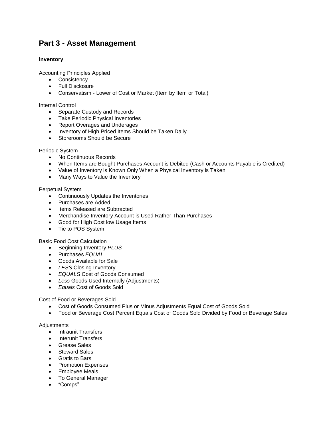## **Part 3 - Asset Management**

#### **Inventory**

Accounting Principles Applied

- Consistency
- Full Disclosure
- Conservatism Lower of Cost or Market (Item by Item or Total)

Internal Control

- Separate Custody and Records
- Take Periodic Physical Inventories
- Report Overages and Underages
- Inventory of High Priced Items Should be Taken Daily
- Storerooms Should be Secure

#### Periodic System

- No Continuous Records
- When Items are Bought Purchases Account is Debited (Cash or Accounts Payable is Credited)
- Value of Inventory is Known Only When a Physical Inventory is Taken
- Many Ways to Value the Inventory

Perpetual System

- Continuously Updates the Inventories
- Purchases are Added
- Items Released are Subtracted
- Merchandise Inventory Account is Used Rather Than Purchases
- Good for High Cost low Usage Items
- Tie to POS System

Basic Food Cost Calculation

- Beginning Inventory *PLUS*
- Purchases *EQUAL*
- Goods Available for Sale
- *LESS* Closing Inventory
- *EQUALS* Cost of Goods Consumed
- *Less* Goods Used Internally (Adjustments)
- *Equals* Cost of Goods Sold

Cost of Food or Beverages Sold

- Cost of Goods Consumed Plus or Minus Adjustments Equal Cost of Goods Sold
- Food or Beverage Cost Percent Equals Cost of Goods Sold Divided by Food or Beverage Sales

#### **Adjustments**

- Intraunit Transfers
- Interunit Transfers
- Grease Sales
- Steward Sales
- Gratis to Bars
- Promotion Expenses
- Employee Meals
- To General Manager
- "Comps"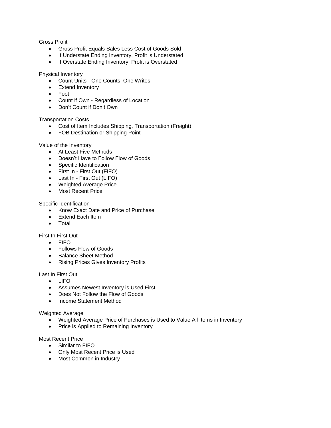#### Gross Profit

- Gross Profit Equals Sales Less Cost of Goods Sold
- If Understate Ending Inventory, Profit is Understated
- If Overstate Ending Inventory, Profit is Overstated

#### Physical Inventory

- Count Units One Counts, One Writes
- Extend Inventory
- Foot
- Count if Own Regardless of Location
- Don't Count if Don't Own

#### Transportation Costs

- Cost of Item Includes Shipping, Transportation (Freight)
- FOB Destination or Shipping Point

#### Value of the Inventory

- At Least Five Methods
- Doesn't Have to Follow Flow of Goods
- Specific Identification
- First In First Out (FIFO)
- Last In First Out (LIFO)
- Weighted Average Price
- Most Recent Price

#### Specific Identification

- Know Exact Date and Price of Purchase
- Extend Each Item
- Total

#### First In First Out

- FIFO
- Follows Flow of Goods
- Balance Sheet Method
- Rising Prices Gives Inventory Profits

#### Last In First Out

- $\bullet$  LIFO
- Assumes Newest Inventory is Used First
- Does Not Follow the Flow of Goods
- Income Statement Method

#### Weighted Average

- Weighted Average Price of Purchases is Used to Value All Items in Inventory
- Price is Applied to Remaining Inventory

#### Most Recent Price

- Similar to FIFO
- Only Most Recent Price is Used
- Most Common in Industry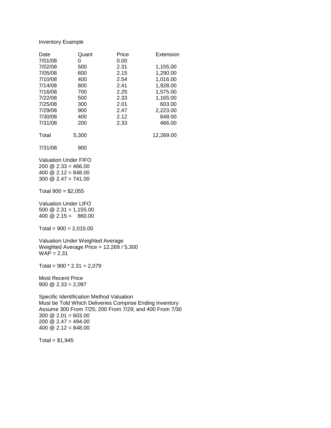#### Inventory Example

| Date<br>7/01/08 | Quant<br>O | Price<br>0.00 | Extension |
|-----------------|------------|---------------|-----------|
| 7/02/08         | 500        | 2.31          | 1,155.00  |
| 7/05/08         | 600        | 2.15          | 1,290.00  |
| 7/10/08         | 400        | 2.54          | 1.016.00  |
| 7/14/08         | 800        | 2.41          | 1,928.00  |
| 7/16/08         | 700        | 2.25          | 1,575.00  |
| 7/22/08         | 500        | 2.33          | 1,165.00  |
| 7/25/08         | 300        | 2.01          | 603.00    |
| 7/29/08         | 900        | 2.47          | 2,223.00  |
| 7/30/08         | 400        | 2.12          | 848.00    |
| 7/31/08         | 200        | 2.33          | 466.00    |
| Total           | 5,300      |               | 12,269.00 |

7/31/08 900

Valuation Under FIFO 200  $\textcircled{2}.33 = 466.00$ 400  $\textcircled{2}.12 = 848.00$ 300 @ 2.47 = 741.00

Total  $900 = $2,055$ 

Valuation Under LIFO 500  $\textcircled{2}.31 = 1,155.00$ 400  $@ 2.15 = 860.00$ 

 $Total = 900 = 2,015.00$ 

Valuation Under Weighted Average Weighted Average Price = 12,269 / 5,300  $WA\overrightarrow{P} = 2.31$ 

Total =  $900 * 2.31 = 2,079$ 

Most Recent Price 900 @ 2.33 = 2,097

Specific Identification Method Valuation Must be Told Which Deliveries Comprise Ending Inventory Assume 300 From 7/25; 200 From 7/29; and 400 From 7/30 300  $\textcircled{2}$  2.01 = 603.00 200  $\textcircled{2}.47 = 494.00$ 400  $@$  2.12 = 848.00

 $Total = $1,945$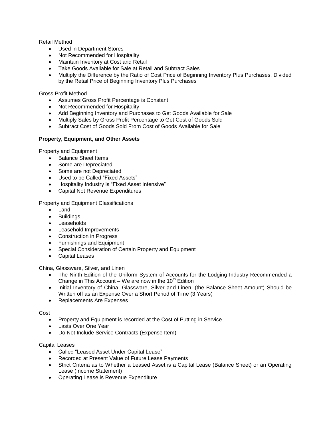Retail Method

- Used in Department Stores
- Not Recommended for Hospitality
- Maintain Inventory at Cost and Retail
- Take Goods Available for Sale at Retail and Subtract Sales
- Multiply the Difference by the Ratio of Cost Price of Beginning Inventory Plus Purchases, Divided by the Retail Price of Beginning Inventory Plus Purchases

Gross Profit Method

- Assumes Gross Profit Percentage is Constant
- Not Recommended for Hospitality
- Add Beginning Inventory and Purchases to Get Goods Available for Sale
- Multiply Sales by Gross Profit Percentage to Get Cost of Goods Sold
- Subtract Cost of Goods Sold From Cost of Goods Available for Sale

#### **Property, Equipment, and Other Assets**

Property and Equipment

- Balance Sheet Items
- Some are Depreciated
- Some are not Depreciated
- Used to be Called "Fixed Assets"
- Hospitality Industry is "Fixed Asset Intensive"
- Capital Not Revenue Expenditures

Property and Equipment Classifications

- Land
- **•** Buildings
- Leaseholds
- Leasehold Improvements
- Construction in Progress
- Furnishings and Equipment
- Special Consideration of Certain Property and Equipment
- Capital Leases

China, Glassware, Silver, and Linen

- The Ninth Edition of the Uniform System of Accounts for the Lodging Industry Recommended a Change in This Account – We are now in the  $10<sup>th</sup>$  Edition
- Initial Inventory of China, Glassware, Silver and Linen, (the Balance Sheet Amount) Should be Written off as an Expense Over a Short Period of Time (3 Years)
- Replacements Are Expenses

Cost

- Property and Equipment is recorded at the Cost of Putting in Service
- Lasts Over One Year
- Do Not Include Service Contracts (Expense Item)

#### Capital Leases

- Called "Leased Asset Under Capital Lease"
- Recorded at Present Value of Future Lease Payments
- Strict Criteria as to Whether a Leased Asset is a Capital Lease (Balance Sheet) or an Operating Lease (Income Statement)
- Operating Lease is Revenue Expenditure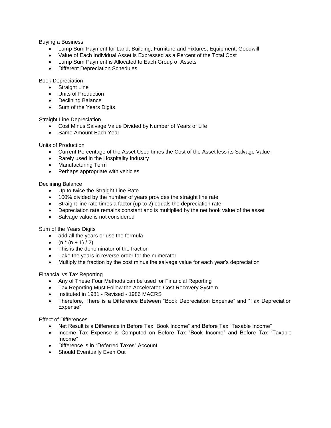Buying a Business

- Lump Sum Payment for Land, Building, Furniture and Fixtures, Equipment, Goodwill
- Value of Each Individual Asset is Expressed as a Percent of the Total Cost
- Lump Sum Payment is Allocated to Each Group of Assets
- Different Depreciation Schedules

Book Depreciation

- Straight Line
- Units of Production
- Declining Balance
- Sum of the Years Digits

Straight Line Depreciation

- Cost Minus Salvage Value Divided by Number of Years of Life
- Same Amount Each Year

Units of Production

- Current Percentage of the Asset Used times the Cost of the Asset less its Salvage Value
- Rarely used in the Hospitality Industry
- Manufacturing Term
- Perhaps appropriate with vehicles

#### Declining Balance

- Up to twice the Straight Line Rate
- 100% divided by the number of years provides the straight line rate
- Straight line rate times a factor (up to 2) equals the depreciation rate.
- Depreciation rate remains constant and is multiplied by the net book value of the asset
- Salvage value is not considered

Sum of the Years Digits

- add all the years or use the formula
- $(n * (n + 1) / 2)$
- This is the denominator of the fraction
- Take the years in reverse order for the numerator
- Multiply the fraction by the cost minus the salvage value for each year's depreciation

Financial vs Tax Reporting

- Any of These Four Methods can be used for Financial Reporting
- Tax Reporting Must Follow the Accelerated Cost Recovery System
- Instituted in 1981 Revised 1986 MACRS
- Therefore, There is a Difference Between "Book Depreciation Expense" and "Tax Depreciation Expense"

Effect of Differences

- Net Result is a Difference in Before Tax "Book Income" and Before Tax "Taxable Income"
- Income Tax Expense is Computed on Before Tax "Book Income" and Before Tax "Taxable Income"
- Difference is in "Deferred Taxes" Account
- Should Eventually Even Out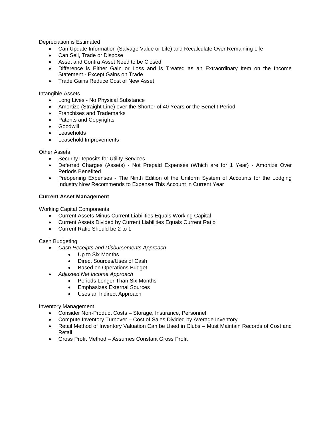Depreciation is Estimated

- Can Update Information (Salvage Value or Life) and Recalculate Over Remaining Life
- Can Sell, Trade or Dispose
- Asset and Contra Asset Need to be Closed
- Difference is Either Gain or Loss and is Treated as an Extraordinary Item on the Income Statement - Except Gains on Trade
- Trade Gains Reduce Cost of New Asset

Intangible Assets

- Long Lives No Physical Substance
- Amortize (Straight Line) over the Shorter of 40 Years or the Benefit Period
- Franchises and Trademarks
- Patents and Copyrights
- Goodwill
- Leaseholds
- Leasehold Improvements

Other Assets

- **•** Security Deposits for Utility Services
- Deferred Charges (Assets) Not Prepaid Expenses (Which are for 1 Year) Amortize Over Periods Benefited
- Preopening Expenses The Ninth Edition of the Uniform System of Accounts for the Lodging Industry Now Recommends to Expense This Account in Current Year

#### **Current Asset Management**

Working Capital Components

- Current Assets Minus Current Liabilities Equals Working Capital
- Current Assets Divided by Current Liabilities Equals Current Ratio
- Current Ratio Should be 2 to 1

Cash Budgeting

- *Cash Receipts and Disbursements Approach*
	- Up to Six Months
	- Direct Sources/Uses of Cash
	- Based on Operations Budget
- *Adjusted Net Income Approach*
	- Periods Longer Than Six Months
	- Emphasizes External Sources
	- Uses an Indirect Approach

Inventory Management

- Consider Non-Product Costs Storage, Insurance, Personnel
- Compute Inventory Turnover Cost of Sales Divided by Average Inventory
- Retail Method of Inventory Valuation Can be Used in Clubs Must Maintain Records of Cost and Retail
- Gross Profit Method Assumes Constant Gross Profit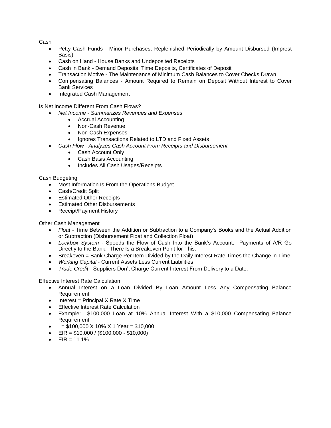Cash

- Petty Cash Funds Minor Purchases, Replenished Periodically by Amount Disbursed (Imprest Basis)
- Cash on Hand House Banks and Undeposited Receipts
- Cash in Bank Demand Deposits, Time Deposits, Certificates of Deposit
- Transaction Motive The Maintenance of Minimum Cash Balances to Cover Checks Drawn
- Compensating Balances Amount Required to Remain on Deposit Without Interest to Cover Bank Services
- Integrated Cash Management

Is Net Income Different From Cash Flows?

- *Net Income - Summarizes Revenues and Expenses*
	- Accrual Accounting
	- Non-Cash Revenue
	- Non-Cash Expenses
	- Ignores Transactions Related to LTD and Fixed Assets
	- *Cash Flow - Analyzes Cash Account From Receipts and Disbursement*
		- Cash Account Only
		- Cash Basis Accounting
		- Includes All Cash Usages/Receipts

Cash Budgeting

- Most Information Is From the Operations Budget
- Cash/Credit Split
- **•** Estimated Other Receipts
- Estimated Other Disbursements
- Receipt/Payment History

Other Cash Management

- *Float* Time Between the Addition or Subtraction to a Company's Books and the Actual Addition or Subtraction (Disbursement Float and Collection Float)
- *Lockbox System*  Speeds the Flow of Cash Into the Bank's Account. Payments of A/R Go Directly to the Bank. There Is a Breakeven Point for This.
- Breakeven = Bank Charge Per Item Divided by the Daily Interest Rate Times the Change in Time
- *Working Capital*  Current Assets Less Current Liabilities
- *Trade Credit*  Suppliers Don't Charge Current Interest From Delivery to a Date.

Effective Interest Rate Calculation

- Annual Interest on a Loan Divided By Loan Amount Less Any Compensating Balance Requirement
- $\bullet$  Interest = Principal X Rate X Time
- **•** Effective Interest Rate Calculation
- Example: \$100,000 Loan at 10% Annual Interest With a \$10,000 Compensating Balance Requirement
- $\bullet$   $I = $100,000 \times 10\% \times 1 \text{ Year} = $10,000$
- $\bullet$  EIR = \$10,000 / (\$100,000 \$10,000)
- $\bullet$  EIR = 11.1%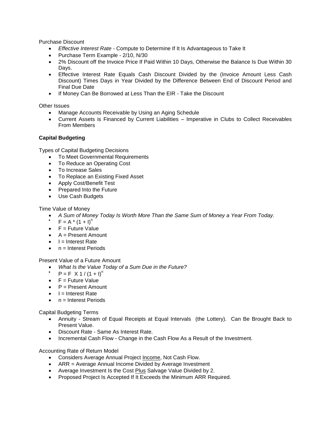Purchase Discount

- *Effective Interest Rate*  Compute to Determine If It Is Advantageous to Take It
- Purchase Term Example 2/10, N/30
- 2% Discount off the Invoice Price If Paid Within 10 Days, Otherwise the Balance Is Due Within 30 Days.
- Effective Interest Rate Equals Cash Discount Divided by the (Invoice Amount Less Cash Discount) Times Days in Year Divided by the Difference Between End of Discount Period and Final Due Date
- If Money Can Be Borrowed at Less Than the EIR Take the Discount

Other Issues

- Manage Accounts Receivable by Using an Aging Schedule
- Current Assets is Financed by Current Liabilities Imperative in Clubs to Collect Receivables From Members

#### **Capital Budgeting**

Types of Capital Budgeting Decisions

- To Meet Governmental Requirements
- To Reduce an Operating Cost
- To Increase Sales
- To Replace an Existing Fixed Asset
- Apply Cost/Benefit Test
- Prepared Into the Future
- Use Cash Budgets

Time Value of Money

- *A Sum of Money Today Is Worth More Than the Same Sum of Money a Year From Today.*
- $F = A * (1 + I)^n$
- $\bullet$   $F =$  Future Value
- $A =$  Present Amount
- $\bullet$   $I =$  Interest Rate
- $n =$  Interest Periods

Present Value of a Future Amount

- *What Is the Value Today of a Sum Due in the Future?*
- $P = F X 1 / (1 + I)^n$
- $\bullet$   $F =$  Future Value
- $\bullet$   $P =$  Present Amount
- $\bullet$   $I =$  Interest Rate
- $n =$  Interest Periods

Capital Budgeting Terms

- Annuity Stream of Equal Receipts at Equal Intervals (the Lottery). Can Be Brought Back to Present Value.
- Discount Rate Same As Interest Rate.
- Incremental Cash Flow Change in the Cash Flow As a Result of the Investment.

Accounting Rate of Return Model

- Considers Average Annual Project Income, Not Cash Flow.
- ARR = Average Annual Income Divided by Average Investment
- Average Investment Is the Cost Plus Salvage Value Divided by 2.
- Proposed Project Is Accepted If It Exceeds the Minimum ARR Required.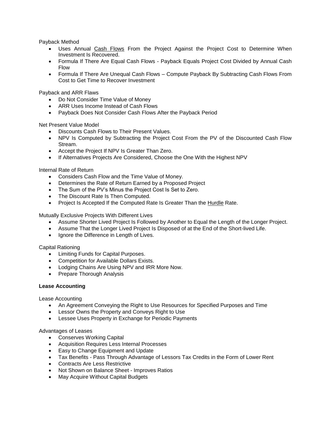Payback Method

- Uses Annual Cash Flows From the Project Against the Project Cost to Determine When Investment Is Recovered.
- Formula If There Are Equal Cash Flows Payback Equals Project Cost Divided by Annual Cash Flow
- Formula If There Are Unequal Cash Flows Compute Payback By Subtracting Cash Flows From Cost to Get Time to Recover Investment

Payback and ARR Flaws

- Do Not Consider Time Value of Money
- ARR Uses Income Instead of Cash Flows
- Payback Does Not Consider Cash Flows After the Payback Period

Net Present Value Model

- Discounts Cash Flows to Their Present Values.
- NPV Is Computed by Subtracting the Project Cost From the PV of the Discounted Cash Flow Stream.
- Accept the Project If NPV Is Greater Than Zero.
- If Alternatives Projects Are Considered, Choose the One With the Highest NPV

Internal Rate of Return

- Considers Cash Flow and the Time Value of Money.
- Determines the Rate of Return Earned by a Proposed Project
- The Sum of the PV's Minus the Project Cost Is Set to Zero.
- The Discount Rate Is Then Computed.
- Project Is Accepted If the Computed Rate Is Greater Than the Hurdle Rate.

Mutually Exclusive Projects With Different Lives

- Assume Shorter Lived Project Is Followed by Another to Equal the Length of the Longer Project.
- Assume That the Longer Lived Project Is Disposed of at the End of the Short-lived Life.
- Ignore the Difference in Length of Lives.

Capital Rationing

- Limiting Funds for Capital Purposes.
- Competition for Available Dollars Exists.
- Lodging Chains Are Using NPV and IRR More Now.
- Prepare Thorough Analysis

#### **Lease Accounting**

Lease Accounting

- An Agreement Conveying the Right to Use Resources for Specified Purposes and Time
- Lessor Owns the Property and Conveys Right to Use
- Lessee Uses Property in Exchange for Periodic Payments

#### Advantages of Leases

- Conserves Working Capital
- Acquisition Requires Less Internal Processes
- Easy to Change Equipment and Update
- Tax Benefits Pass Through Advantage of Lessors Tax Credits in the Form of Lower Rent
- Contracts Are Less Restrictive
- Not Shown on Balance Sheet Improves Ratios
- May Acquire Without Capital Budgets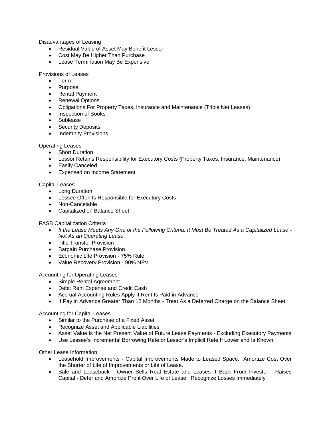Disadvantages of Leasing

- Residual Value of Asset May Benefit Lessor
- Cost May Be Higher Than Purchase
- Lease Termination May Be Expensive

Provisions of Leases

- Term
- Purpose
- Rental Payment
- Renewal Options
- Obligations For Property Taxes, Insurance and Maintenance (Triple Net Leases)
- Inspection of Books
- Sublease
- Security Deposits
- Indemnity Provisions

#### Operating Leases

- Short Duration
- Lessor Retains Responsibility for Executory Costs (Property Taxes, Insurance, Maintenance)
- Easily Canceled
- Expensed on Income Statement

#### Capital Leases

- Long Duration
- Lessee Often Is Responsible for Executory Costs
- Non-Cancelable
- Capitalized on Balance Sheet

FASB Capitalization Criteria

- *If the Lease Meets Any One of the Following Criteria, It Must Be Treated As a Capitalized Lease - Not As an Operating Lease*
- Title Transfer Provision
- **•** Bargain Purchase Provision
- **Economic Life Provision 75% Rule**
- Value Recovery Provision 90% NPV

Accounting for Operating Leases

- Simple Rental Agreement
- Debit Rent Expense and Credit Cash
- Accrual Accounting Rules Apply If Rent Is Paid in Advance
- If Pay in Advance Greater Than 12 Months Treat As a Deferred Charge on the Balance Sheet

Accounting for Capital Leases

- Similar to the Purchase of a Fixed Asset
- Recognize Asset and Applicable Liabilities
- Asset Value Is the Net Present Value of Future Lease Payments Excluding Executory Payments
- Use Lessee's Incremental Borrowing Rate or Lessor's Implicit Rate If Lower and Is Known

Other Lease Information

- Leasehold Improvements Capital Improvements Made to Leased Space. Amortize Cost Over the Shorter of Life of Improvements or Life of Lease.
- Sale and Leaseback Owner Sells Real Estate and Leases It Back From Investor. Raises Capital - Defer and Amortize Profit Over Life of Lease. Recognize Losses Immediately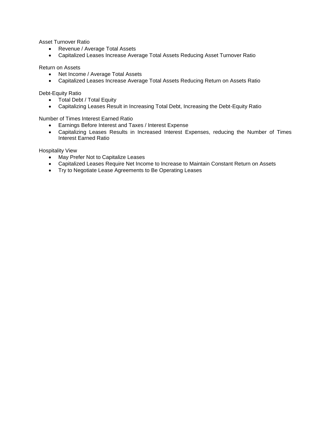Asset Turnover Ratio

- Revenue / Average Total Assets
- Capitalized Leases Increase Average Total Assets Reducing Asset Turnover Ratio

Return on Assets

- Net Income / Average Total Assets
- Capitalized Leases Increase Average Total Assets Reducing Return on Assets Ratio

Debt-Equity Ratio

- Total Debt / Total Equity
- Capitalizing Leases Result in Increasing Total Debt, Increasing the Debt-Equity Ratio

Number of Times Interest Earned Ratio

- Earnings Before Interest and Taxes / Interest Expense
- Capitalizing Leases Results in Increased Interest Expenses, reducing the Number of Times Interest Earned Ratio

Hospitality View

- May Prefer Not to Capitalize Leases
- Capitalized Leases Require Net Income to Increase to Maintain Constant Return on Assets
- Try to Negotiate Lease Agreements to Be Operating Leases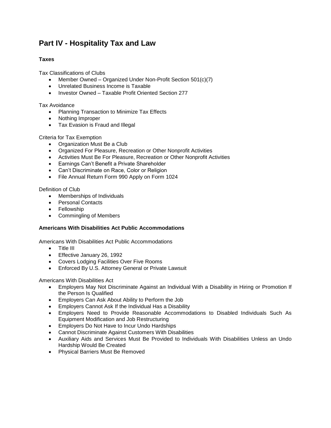## **Part IV - Hospitality Tax and Law**

#### **Taxes**

Tax Classifications of Clubs

- Member Owned Organized Under Non-Profit Section 501(c)(7)
- Unrelated Business Income is Taxable
- Investor Owned Taxable Profit Oriented Section 277

#### Tax Avoidance

- Planning Transaction to Minimize Tax Effects
- Nothing Improper
- Tax Evasion is Fraud and Illegal

#### Criteria for Tax Exemption

- Organization Must Be a Club
- Organized For Pleasure, Recreation or Other Nonprofit Activities
- Activities Must Be For Pleasure, Recreation or Other Nonprofit Activities
- **Earnings Can't Benefit a Private Shareholder**
- Can't Discriminate on Race, Color or Religion
- File Annual Return Form 990 Apply on Form 1024

#### Definition of Club

- Memberships of Individuals
- Personal Contacts
- Fellowship
- Commingling of Members

#### **Americans With Disabilities Act Public Accommodations**

Americans With Disabilities Act Public Accommodations

- Title III
- Effective January 26, 1992
- Covers Lodging Facilities Over Five Rooms
- Enforced By U.S. Attorney General or Private Lawsuit

Americans With Disabilities Act

- Employers May Not Discriminate Against an Individual With a Disability in Hiring or Promotion If the Person Is Qualified
- Employers Can Ask About Ability to Perform the Job
- Employers Cannot Ask If the Individual Has a Disability
- Employers Need to Provide Reasonable Accommodations to Disabled Individuals Such As Equipment Modification and Job Restructuring
- Employers Do Not Have to Incur Undo Hardships
- Cannot Discriminate Against Customers With Disabilities
- Auxiliary Aids and Services Must Be Provided to Individuals With Disabilities Unless an Undo Hardship Would Be Created
- Physical Barriers Must Be Removed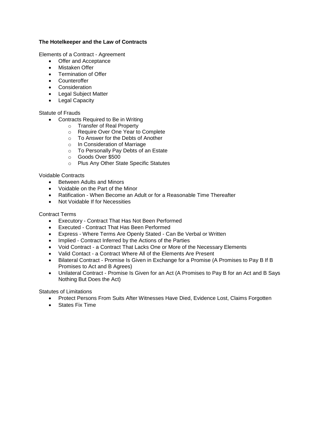#### **The Hotelkeeper and the Law of Contracts**

Elements of a Contract - Agreement

- Offer and Acceptance
- Mistaken Offer
- Termination of Offer
- Counteroffer
- **•** Consideration
- Legal Subject Matter
- Legal Capacity

#### Statute of Frauds

- Contracts Required to Be in Writing
	- o Transfer of Real Property
	- o Require Over One Year to Complete
	- o To Answer for the Debts of Another
	- o In Consideration of Marriage
	- o To Personally Pay Debts of an Estate
	- o Goods Over \$500
	- o Plus Any Other State Specific Statutes

#### Voidable Contracts

- Between Adults and Minors
- Voidable on the Part of the Minor
- Ratification When Become an Adult or for a Reasonable Time Thereafter
- Not Voidable If for Necessities

#### Contract Terms

- Executory Contract That Has Not Been Performed
- Executed Contract That Has Been Performed
- Express Where Terms Are Openly Stated Can Be Verbal or Written
- Implied Contract Inferred by the Actions of the Parties
- Void Contract a Contract That Lacks One or More of the Necessary Elements
- Valid Contact a Contract Where All of the Elements Are Present
- Bilateral Contract Promise Is Given in Exchange for a Promise (A Promises to Pay B If B Promises to Act and B Agrees)
- Unilateral Contract Promise Is Given for an Act (A Promises to Pay B for an Act and B Says Nothing But Does the Act)

Statutes of Limitations

- Protect Persons From Suits After Witnesses Have Died, Evidence Lost, Claims Forgotten
- States Fix Time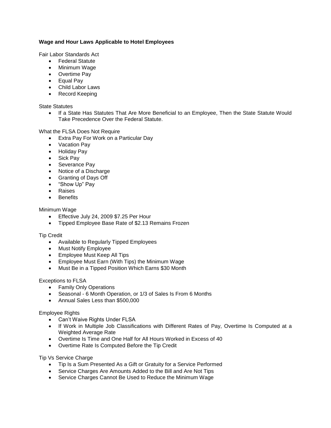#### **Wage and Hour Laws Applicable to Hotel Employees**

Fair Labor Standards Act

- Federal Statute
- Minimum Wage
- Overtime Pay
- Equal Pay
- Child Labor Laws
- Record Keeping

State Statutes

• If a State Has Statutes That Are More Beneficial to an Employee, Then the State Statute Would Take Precedence Over the Federal Statute.

What the FLSA Does Not Require

- Extra Pay For Work on a Particular Day
- Vacation Pay
- Holiday Pay
- Sick Pay
- Severance Pay
- Notice of a Discharge
- Granting of Days Off
- "Show Up" Pay
- Raises
- Benefits

Minimum Wage

- Effective July 24, 2009 \$7.25 Per Hour
- Tipped Employee Base Rate of \$2.13 Remains Frozen

Tip Credit

- Available to Regularly Tipped Employees
- Must Notify Employee
- Employee Must Keep All Tips
- Employee Must Earn (With Tips) the Minimum Wage
- Must Be in a Tipped Position Which Earns \$30 Month

Exceptions to FLSA

- Family Only Operations
- Seasonal 6 Month Operation, or 1/3 of Sales Is From 6 Months
- Annual Sales Less than \$500,000

Employee Rights

- Can't Waive Rights Under FLSA
- If Work in Multiple Job Classifications with Different Rates of Pay, Overtime Is Computed at a Weighted Average Rate
- Overtime Is Time and One Half for All Hours Worked in Excess of 40
- Overtime Rate Is Computed Before the Tip Credit

Tip Vs Service Charge

- Tip Is a Sum Presented As a Gift or Gratuity for a Service Performed
- Service Charges Are Amounts Added to the Bill and Are Not Tips
- Service Charges Cannot Be Used to Reduce the Minimum Wage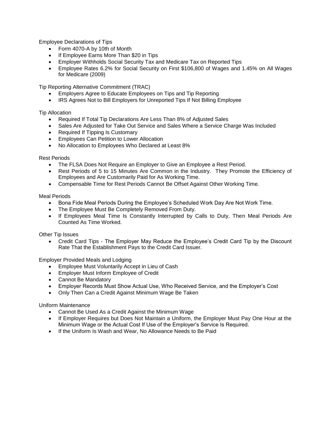Employee Declarations of Tips

- Form 4070-A by 10th of Month
- If Employee Earns More Than \$20 in Tips
- Employer Withholds Social Security Tax and Medicare Tax on Reported Tips
- Employee Rates 6.2% for Social Security on First \$106,800 of Wages and 1.45% on All Wages for Medicare (2009)

Tip Reporting Alternative Commitment (TRAC)

- Employers Agree to Educate Employees on Tips and Tip Reporting
- IRS Agrees Not to Bill Employers for Unreported Tips If Not Billing Employee

Tip Allocation

- Required If Total Tip Declarations Are Less Than 8% of Adjusted Sales
- Sales Are Adjusted for Take Out Service and Sales Where a Service Charge Was Included
- Required If Tipping Is Customary
- Employees Can Petition to Lower Allocation
- No Allocation to Employees Who Declared at Least 8%

Rest Periods

- The FLSA Does Not Require an Employer to Give an Employee a Rest Period.
- Rest Periods of 5 to 15 Minutes Are Common in the Industry. They Promote the Efficiency of Employees and Are Customarily Paid for As Working Time.
- Compensable Time for Rest Periods Cannot Be Offset Against Other Working Time.

Meal Periods

- Bona Fide Meal Periods During the Employee's Scheduled Work Day Are Not Work Time.
- The Employee Must Be Completely Removed From Duty.
- If Employees Meal Time Is Constantly Interrupted by Calls to Duty, Then Meal Periods Are Counted As Time Worked.

Other Tip Issues

 Credit Card Tips - The Employer May Reduce the Employee's Credit Card Tip by the Discount Rate That the Establishment Pays to the Credit Card Issuer.

Employer Provided Meals and Lodging

- Employee Must Voluntarily Accept in Lieu of Cash
- Employer Must Inform Employee of Credit
- Cannot Be Mandatory
- Employer Records Must Show Actual Use, Who Received Service, and the Employer's Cost
- Only Then Can a Credit Against Minimum Wage Be Taken

Uniform Maintenance

- Cannot Be Used As a Credit Against the Minimum Wage
- If Employer Requires but Does Not Maintain a Uniform, the Employer Must Pay One Hour at the Minimum Wage or the Actual Cost If Use of the Employer's Service Is Required.
- If the Uniform Is Wash and Wear, No Allowance Needs to Be Paid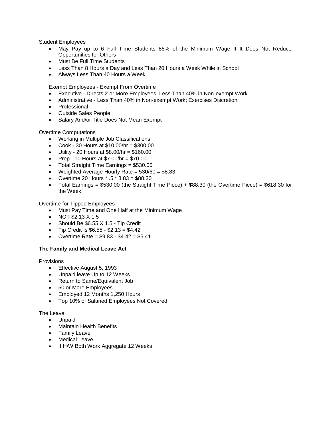Student Employees

- May Pay up to 6 Full Time Students 85% of the Minimum Wage If It Does Not Reduce Opportunities for Others
- Must Be Full Time Students
- Less Than 8 Hours a Day and Less Than 20 Hours a Week While in School
- Always Less Than 40 Hours a Week

Exempt Employees - Exempt From Overtime

- Executive Directs 2 or More Employees; Less Than 40% in Non-exempt Work
- Administrative Less Than 40% in Non-exempt Work; Exercises Discretion
- Professional
- Outside Sales People
- Salary And/or Title Does Not Mean Exempt

Overtime Computations

- Working in Multiple Job Classifications
- Cook 30 Hours at  $$10.00/hr = $300.00$
- $\bullet$  Utility 20 Hours at \$8.00/hr = \$160.00
- Prep 10 Hours at  $$7.00/hr = $70.00$
- Total Straight Time Earnings = \$530.00
- Weighted Average Hourly Rate =  $530/60 = $8.83$
- Overtime 20 Hours  $*$  .5  $*$  8.83 = \$88.30
- Total Earnings =  $$530.00$  (the Straight Time Piece) +  $$88.30$  (the Overtime Piece) =  $$618.30$  for the Week

Overtime for Tipped Employees

- Must Pay Time and One Half at the Minimum Wage
- NOT  $$2.13$  X 1.5
- Should Be \$6.55 X 1.5 Tip Credit
- Tip Credit Is  $$6.55 $2.13 = $4.42$
- Overtime Rate =  $$9.83 $4.42 = $5.41$

#### **The Family and Medical Leave Act**

Provisions

- **Effective August 5, 1993**
- Unpaid leave Up to 12 Weeks
- Return to Same/Equivalent Job
- 50 or More Employees
- Employed 12 Months 1,250 Hours
- Top 10% of Salaried Employees Not Covered

#### The Leave

- Unpaid
- Maintain Health Benefits
- Family Leave
- Medical Leave
- If H/W Both Work Aggregate 12 Weeks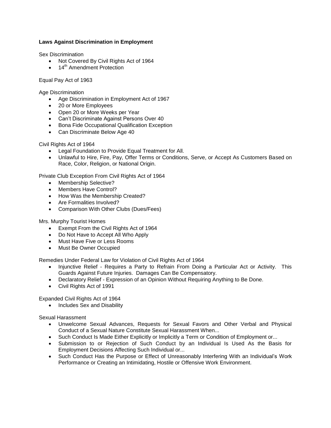#### **Laws Against Discrimination in Employment**

Sex Discrimination

- Not Covered By Civil Rights Act of 1964
- $\bullet$  14<sup>th</sup> Amendment Protection

Equal Pay Act of 1963

Age Discrimination

- Age Discrimination in Employment Act of 1967
- 20 or More Employees
- Open 20 or More Weeks per Year
- Can't Discriminate Against Persons Over 40
- Bona Fide Occupational Qualification Exception
- Can Discriminate Below Age 40

Civil Rights Act of 1964

- Legal Foundation to Provide Equal Treatment for All.
- Unlawful to Hire, Fire, Pay, Offer Terms or Conditions, Serve, or Accept As Customers Based on Race, Color, Religion, or National Origin.

Private Club Exception From Civil Rights Act of 1964

- Membership Selective?
- Members Have Control?
- How Was the Membership Created?
- Are Formalities Involved?
- Comparison With Other Clubs (Dues/Fees)

Mrs. Murphy Tourist Homes

- **Exempt From the Civil Rights Act of 1964**
- Do Not Have to Accept All Who Apply
- Must Have Five or Less Rooms
- Must Be Owner Occupied

Remedies Under Federal Law for Violation of Civil Rights Act of 1964

- Injunctive Relief Requires a Party to Refrain From Doing a Particular Act or Activity. This Guards Against Future Injuries. Damages Can Be Compensatory.
- Declaratory Relief Expression of an Opinion Without Requiring Anything to Be Done.
- Civil Rights Act of 1991

Expanded Civil Rights Act of 1964

• Includes Sex and Disability

Sexual Harassment

- Unwelcome Sexual Advances, Requests for Sexual Favors and Other Verbal and Physical Conduct of a Sexual Nature Constitute Sexual Harassment When...
- Such Conduct Is Made Either Explicitly or Implicitly a Term or Condition of Employment or...
- Submission to or Rejection of Such Conduct by an Individual Is Used As the Basis for Employment Decisions Affecting Such Individual or...
- Such Conduct Has the Purpose or Effect of Unreasonably Interfering With an Individual's Work Performance or Creating an Intimidating, Hostile or Offensive Work Environment.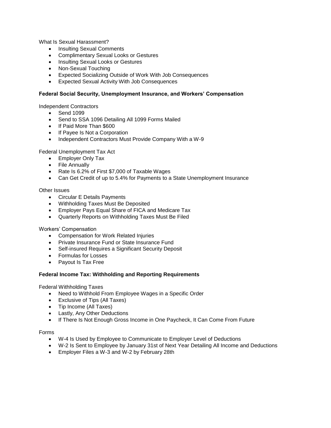What Is Sexual Harassment?

- Insulting Sexual Comments
- Complimentary Sexual Looks or Gestures
- Insulting Sexual Looks or Gestures
- Non-Sexual Touching
- Expected Socializing Outside of Work With Job Consequences
- Expected Sexual Activity With Job Consequences

#### **Federal Social Security, Unemployment Insurance, and Workers' Compensation**

Independent Contractors

- Send 1099
- Send to SSA 1096 Detailing All 1099 Forms Mailed
- If Paid More Than \$600
- If Payee Is Not a Corporation
- Independent Contractors Must Provide Company With a W-9

Federal Unemployment Tax Act

- Employer Only Tax
- File Annually
- Rate Is 6.2% of First \$7,000 of Taxable Wages
- Can Get Credit of up to 5.4% for Payments to a State Unemployment Insurance

Other Issues

- Circular E Details Payments
- Withholding Taxes Must Be Deposited
- Employer Pays Equal Share of FICA and Medicare Tax
- Quarterly Reports on Withholding Taxes Must Be Filed

Workers' Compensation

- Compensation for Work Related Injuries
- Private Insurance Fund or State Insurance Fund
- Self-insured Requires a Significant Security Deposit
- Formulas for Losses
- Payout Is Tax Free

#### **Federal Income Tax: Withholding and Reporting Requirements**

Federal Withholding Taxes

- Need to Withhold From Employee Wages in a Specific Order
- Exclusive of Tips (All Taxes)
- Tip Income (All Taxes)
- Lastly, Any Other Deductions
- If There Is Not Enough Gross Income in One Paycheck, It Can Come From Future

#### Forms

- W-4 Is Used by Employee to Communicate to Employer Level of Deductions
- W-2 Is Sent to Employee by January 31st of Next Year Detailing All Income and Deductions
- **Employer Files a W-3 and W-2 by February 28th**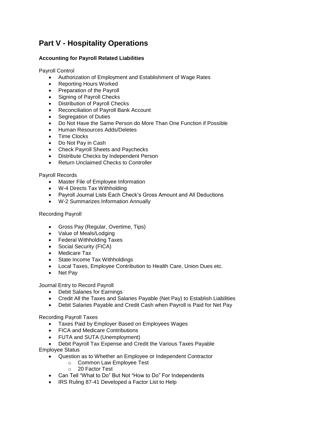## **Part V - Hospitality Operations**

#### **Accounting for Payroll Related Liabilities**

Payroll Control

- Authorization of Employment and Establishment of Wage Rates
- Reporting Hours Worked
- Preparation of the Payroll
- Signing of Payroll Checks
- Distribution of Payroll Checks
- Reconciliation of Payroll Bank Account
- Segregation of Duties
- Do Not Have the Same Person do More Than One Function if Possible
- Human Resources Adds/Deletes
- Time Clocks
- Do Not Pay in Cash
- Check Payroll Sheets and Paychecks
- Distribute Checks by Independent Person
- Return Unclaimed Checks to Controller

#### Payroll Records

- Master File of Employee Information
- W-4 Directs Tax Withholding
- Payroll Journal Lists Each Check's Gross Amount and All Deductions
- W-2 Summarizes Information Annually

#### Recording Payroll

- Gross Pay (Regular, Overtime, Tips)
- Value of Meals/Lodging
- Federal Withholding Taxes
- Social Security (FICA)
- Medicare Tax
- State Income Tax Withholdings
- Local Taxes, Employee Contribution to Health Care, Union Dues etc.
- Net Pay

Journal Entry to Record Payroll

- Debit Salaries for Earnings
- Credit All the Taxes and Salaries Payable (Net Pay) to Establish Liabilities
- Debit Salaries Payable and Credit Cash when Payroll is Paid for Net Pay

Recording Payroll Taxes

- Taxes Paid by Employer Based on Employees Wages
- FICA and Medicare Contributions
- FUTA and SUTA (Unemployment)
- Debit Payroll Tax Expense and Credit the Various Taxes Payable Employee Status
	- Question as to Whether an Employee or Independent Contractor
		- o Common Law Employee Test
		- o 20 Factor Test
	- Can Tell "What to Do" But Not "How to Do" For Independents
	- IRS Ruling 87-41 Developed a Factor List to Help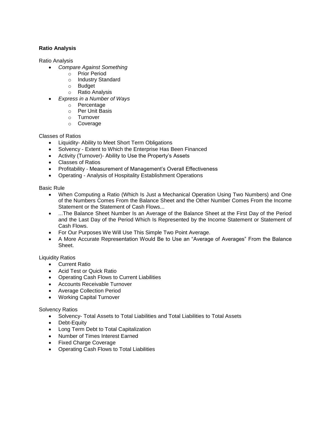#### **Ratio Analysis**

Ratio Analysis

- *Compare Against Something*
	- o Prior Period
	- o Industry Standard
	- o Budget
	- o Ratio Analysis
- *Express in a Number of Ways*
	- o Percentage
	- o Per Unit Basis
	- o Turnover
	- o Coverage

Classes of Ratios

- Liquidity- Ability to Meet Short Term Obligations
- Solvency Extent to Which the Enterprise Has Been Financed
- Activity (Turnover)- Ability to Use the Property's Assets
- Classes of Ratios
- Profitability Measurement of Management's Overall Effectiveness
- Operating Analysis of Hospitality Establishment Operations

Basic Rule

- When Computing a Ratio (Which Is Just a Mechanical Operation Using Two Numbers) and One of the Numbers Comes From the Balance Sheet and the Other Number Comes From the Income Statement or the Statement of Cash Flows...
- ...The Balance Sheet Number Is an Average of the Balance Sheet at the First Day of the Period and the Last Day of the Period Which Is Represented by the Income Statement or Statement of Cash Flows.
- For Our Purposes We Will Use This Simple Two Point Average.
- A More Accurate Representation Would Be to Use an "Average of Averages" From the Balance Sheet.

Liquidity Ratios

- Current Ratio
- Acid Test or Quick Ratio
- Operating Cash Flows to Current Liabilities
- Accounts Receivable Turnover
- Average Collection Period
- Working Capital Turnover

#### Solvency Ratios

- Solvency- Total Assets to Total Liabilities and Total Liabilities to Total Assets
- Debt-Equity
- Long Term Debt to Total Capitalization
- Number of Times Interest Earned
- Fixed Charge Coverage
- Operating Cash Flows to Total Liabilities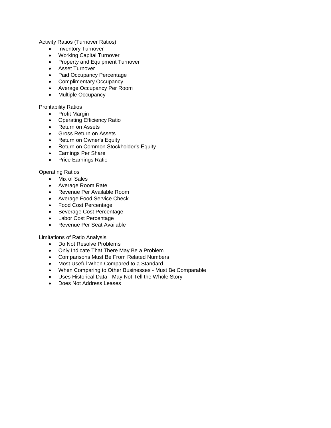Activity Ratios (Turnover Ratios)

- Inventory Turnover
- Working Capital Turnover
- Property and Equipment Turnover
- Asset Turnover
- Paid Occupancy Percentage
- Complimentary Occupancy
- Average Occupancy Per Room
- Multiple Occupancy

Profitability Ratios

- Profit Margin
- Operating Efficiency Ratio
- Return on Assets
- **Gross Return on Assets**
- Return on Owner's Equity
- Return on Common Stockholder's Equity
- **•** Earnings Per Share
- Price Earnings Ratio

#### Operating Ratios

- Mix of Sales
- Average Room Rate
- Revenue Per Available Room
- Average Food Service Check
- Food Cost Percentage
- Beverage Cost Percentage
- Labor Cost Percentage
- Revenue Per Seat Available

Limitations of Ratio Analysis

- Do Not Resolve Problems
- Only Indicate That There May Be a Problem
- Comparisons Must Be From Related Numbers
- Most Useful When Compared to a Standard
- When Comparing to Other Businesses Must Be Comparable
- Uses Historical Data May Not Tell the Whole Story
- Does Not Address Leases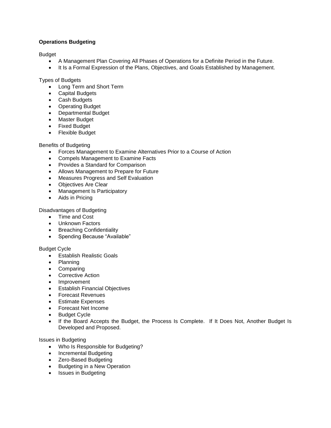#### **Operations Budgeting**

#### **Budget**

- A Management Plan Covering All Phases of Operations for a Definite Period in the Future.
- It Is a Formal Expression of the Plans, Objectives, and Goals Established by Management.

#### Types of Budgets

- Long Term and Short Term
- Capital Budgets
- Cash Budgets
- Operating Budget
- Departmental Budget
- Master Budget
- Fixed Budget
- Flexible Budget

#### Benefits of Budgeting

- Forces Management to Examine Alternatives Prior to a Course of Action
- Compels Management to Examine Facts
- Provides a Standard for Comparison
- Allows Management to Prepare for Future
- Measures Progress and Self Evaluation
- Objectives Are Clear
- Management Is Participatory
- Aids in Pricing

Disadvantages of Budgeting

- Time and Cost
- Unknown Factors
- Breaching Confidentiality
- Spending Because "Available"

#### Budget Cycle

- **•** Establish Realistic Goals
- Planning
- Comparing
- Corrective Action
- Improvement
- Establish Financial Objectives
- Forecast Revenues
- **Estimate Expenses**
- Forecast Net Income
- Budget Cycle
- If the Board Accepts the Budget, the Process Is Complete. If It Does Not, Another Budget Is Developed and Proposed.

Issues in Budgeting

- Who Is Responsible for Budgeting?
- Incremental Budgeting
- Zero-Based Budgeting
- Budgeting in a New Operation
- Issues in Budgeting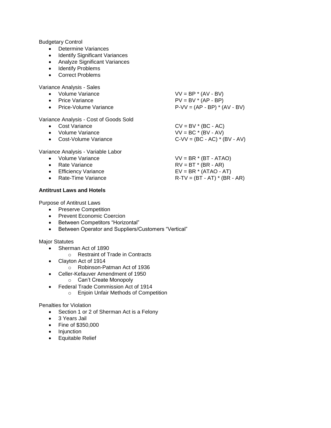#### Budgetary Control

- Determine Variances
- Identify Significant Variances
- Analyze Significant Variances
- Identify Problems
- Correct Problems

Variance Analysis - Sales

- Volume Variance  $VV = BP * (AV BV)$ Price Variance **PV** = BV \* (AP - BP)
- 
- Price-Volume Variance  $P-VV = (AP BP) * (AV BV)$

Variance Analysis - Cost of Goods Sold

• Cost Variance  $CV = BV * (BC - AC)$ • Volume Variance VIV = BC \* (BV - AV) ● Cost-Volume Variance C-VV = (BC - AC) \* (BV - AV)

Variance Analysis - Variable Labor

- 
- 
- 
- 

#### **Antitrust Laws and Hotels**

Purpose of Antitrust Laws

- Preserve Competition
- Prevent Economic Coercion
- Between Competitors "Horizontal"
- Between Operator and Suppliers/Customers "Vertical"

Major Statutes

- Sherman Act of 1890
	- o Restraint of Trade in Contracts
- Clayton Act of 1914
	- o Robinson-Patman Act of 1936
- Celler-Kefauver Amendment of 1950
	- o Can't Create Monopoly
- Federal Trade Commission Act of 1914
	- o Enjoin Unfair Methods of Competition

#### Penalties for Violation

- Section 1 or 2 of Sherman Act is a Felony
- 3 Years Jail
- Fine of \$350,000
- Injunction
- Equitable Relief
- 
- 
- Volume Variance VV = BR \* (BT ATAO) • Rate Variance  $RV = BT * (BR - AR)$ Efficiency Variance EV = BR  $*$  (ATAO - AT) • Rate-Time Variance  $R-TV = (BT - AT) * (BR - AR)$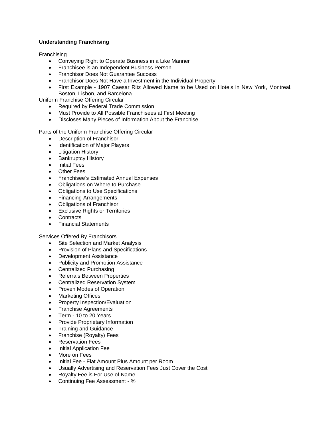#### **Understanding Franchising**

**Franchising** 

- Conveying Right to Operate Business in a Like Manner
- Franchisee is an Independent Business Person
- Franchisor Does Not Guarantee Success
- Franchisor Does Not Have a Investment in the Individual Property
- First Example 1907 Caesar Ritz Allowed Name to be Used on Hotels in New York, Montreal, Boston, Lisbon, and Barcelona

Uniform Franchise Offering Circular

- Required by Federal Trade Commission
- Must Provide to All Possible Franchisees at First Meeting
- Discloses Many Pieces of Information About the Franchise

Parts of the Uniform Franchise Offering Circular

- Description of Franchisor
- Identification of Major Players
- Litigation History
- Bankruptcy History
- Initial Fees
- Other Fees
- Franchisee's Estimated Annual Expenses
- Obligations on Where to Purchase
- Obligations to Use Specifications
- Financing Arrangements
- Obligations of Franchisor
- **Exclusive Rights or Territories**
- Contracts
- Financial Statements

Services Offered By Franchisors

- Site Selection and Market Analysis
- Provision of Plans and Specifications
- Development Assistance
- Publicity and Promotion Assistance
- Centralized Purchasing
- Referrals Between Properties
- Centralized Reservation System
- Proven Modes of Operation
- Marketing Offices
- Property Inspection/Evaluation
- Franchise Agreements
- Term 10 to 20 Years
- Provide Proprietary Information
- Training and Guidance
- Franchise (Royalty) Fees
- Reservation Fees
- Initial Application Fee
- More on Fees
- Initial Fee Flat Amount Plus Amount per Room
- Usually Advertising and Reservation Fees Just Cover the Cost
- Royalty Fee is For Use of Name
- Continuing Fee Assessment %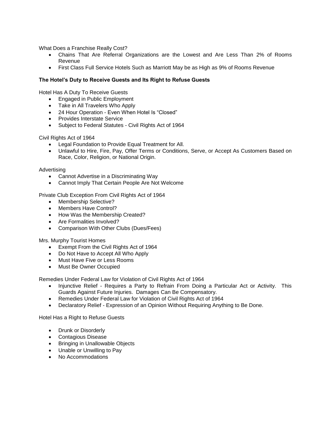What Does a Franchise Really Cost?

- Chains That Are Referral Organizations are the Lowest and Are Less Than 2% of Rooms Revenue
- First Class Full Service Hotels Such as Marriott May be as High as 9% of Rooms Revenue

#### **The Hotel's Duty to Receive Guests and Its Right to Refuse Guests**

Hotel Has A Duty To Receive Guests

- Engaged in Public Employment
- Take in All Travelers Who Apply
- 24 Hour Operation Even When Hotel Is "Closed"
- Provides Interstate Service
- Subject to Federal Statutes Civil Rights Act of 1964

Civil Rights Act of 1964

- Legal Foundation to Provide Equal Treatment for All.
- Unlawful to Hire, Fire, Pay, Offer Terms or Conditions, Serve, or Accept As Customers Based on Race, Color, Religion, or National Origin.

Advertising

- Cannot Advertise in a Discriminating Way
- Cannot Imply That Certain People Are Not Welcome

Private Club Exception From Civil Rights Act of 1964

- Membership Selective?
- Members Have Control?
- How Was the Membership Created?
- Are Formalities Involved?
- Comparison With Other Clubs (Dues/Fees)

Mrs. Murphy Tourist Homes

- Exempt From the Civil Rights Act of 1964
- Do Not Have to Accept All Who Apply
- Must Have Five or Less Rooms
- Must Be Owner Occupied

Remedies Under Federal Law for Violation of Civil Rights Act of 1964

- Injunctive Relief Requires a Party to Refrain From Doing a Particular Act or Activity. This Guards Against Future Injuries. Damages Can Be Compensatory.
- Remedies Under Federal Law for Violation of Civil Rights Act of 1964
- Declaratory Relief Expression of an Opinion Without Requiring Anything to Be Done.

Hotel Has a Right to Refuse Guests

- Drunk or Disorderly
- Contagious Disease
- Bringing in Unallowable Objects
- Unable or Unwilling to Pay
- No Accommodations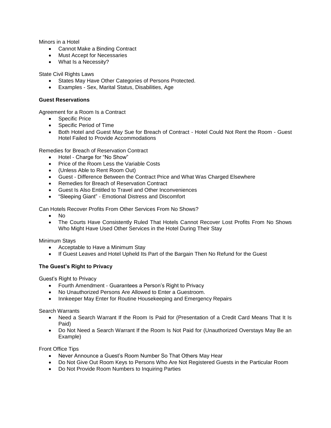Minors in a Hotel

- Cannot Make a Binding Contract
- Must Accept for Necessaries
- What Is a Necessity?

State Civil Rights Laws

- States May Have Other Categories of Persons Protected.
- Examples Sex, Marital Status, Disabilities, Age

#### **Guest Reservations**

Agreement for a Room Is a Contract

- Specific Price
- Specific Period of Time
- Both Hotel and Guest May Sue for Breach of Contract Hotel Could Not Rent the Room Guest Hotel Failed to Provide Accommodations

Remedies for Breach of Reservation Contract

- Hotel Charge for "No Show"
- Price of the Room Less the Variable Costs
- (Unless Able to Rent Room Out)
- Guest Difference Between the Contract Price and What Was Charged Elsewhere
- Remedies for Breach of Reservation Contract
- Guest Is Also Entitled to Travel and Other Inconveniences
- "Sleeping Giant" Emotional Distress and Discomfort

Can Hotels Recover Profits From Other Services From No Shows?

- No
- The Courts Have Consistently Ruled That Hotels Cannot Recover Lost Profits From No Shows Who Might Have Used Other Services in the Hotel During Their Stay

Minimum Stays

- Acceptable to Have a Minimum Stay
- If Guest Leaves and Hotel Upheld Its Part of the Bargain Then No Refund for the Guest

#### **The Guest's Right to Privacy**

Guest's Right to Privacy

- Fourth Amendment Guarantees a Person's Right to Privacy
- No Unauthorized Persons Are Allowed to Enter a Guestroom.
- Innkeeper May Enter for Routine Housekeeping and Emergency Repairs

Search Warrants

- Need a Search Warrant If the Room Is Paid for (Presentation of a Credit Card Means That It Is Paid)
- Do Not Need a Search Warrant If the Room Is Not Paid for (Unauthorized Overstays May Be an Example)

Front Office Tips

- Never Announce a Guest's Room Number So That Others May Hear
- Do Not Give Out Room Keys to Persons Who Are Not Registered Guests in the Particular Room
- Do Not Provide Room Numbers to Inquiring Parties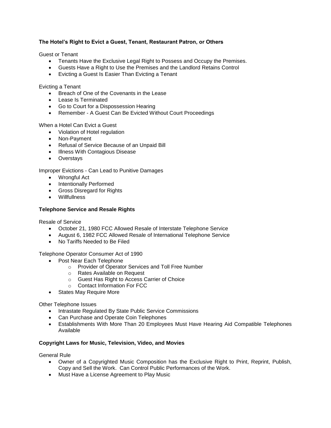#### **The Hotel's Right to Evict a Guest, Tenant, Restaurant Patron, or Others**

Guest or Tenant

- Tenants Have the Exclusive Legal Right to Possess and Occupy the Premises.
- Guests Have a Right to Use the Premises and the Landlord Retains Control
- Evicting a Guest Is Easier Than Evicting a Tenant

Evicting a Tenant

- Breach of One of the Covenants in the Lease
- Lease Is Terminated
- Go to Court for a Dispossession Hearing
- Remember A Guest Can Be Evicted Without Court Proceedings

When a Hotel Can Evict a Guest

- Violation of Hotel regulation
- Non-Payment
- Refusal of Service Because of an Unpaid Bill
- Illness With Contagious Disease
- Overstays

Improper Evictions - Can Lead to Punitive Damages

- Wrongful Act
- Intentionally Performed
- Gross Disregard for Rights
- Willfullness

#### **Telephone Service and Resale Rights**

Resale of Service

- October 21, 1980 FCC Allowed Resale of Interstate Telephone Service
- August 6, 1982 FCC Allowed Resale of International Telephone Service
- No Tariffs Needed to Be Filed

Telephone Operator Consumer Act of 1990

- Post Near Each Telephone
	- o Provider of Operator Services and Toll Free Number
	- o Rates Available on Request
	- o Guest Has Right to Access Carrier of Choice
	- o Contact Information For FCC
- States May Require More

Other Telephone Issues

- Intrastate Regulated By State Public Service Commissions
- Can Purchase and Operate Coin Telephones
- Establishments With More Than 20 Employees Must Have Hearing Aid Compatible Telephones Available

#### **Copyright Laws for Music, Television, Video, and Movies**

General Rule

- Owner of a Copyrighted Music Composition has the Exclusive Right to Print, Reprint, Publish, Copy and Sell the Work. Can Control Public Performances of the Work.
- Must Have a License Agreement to Play Music